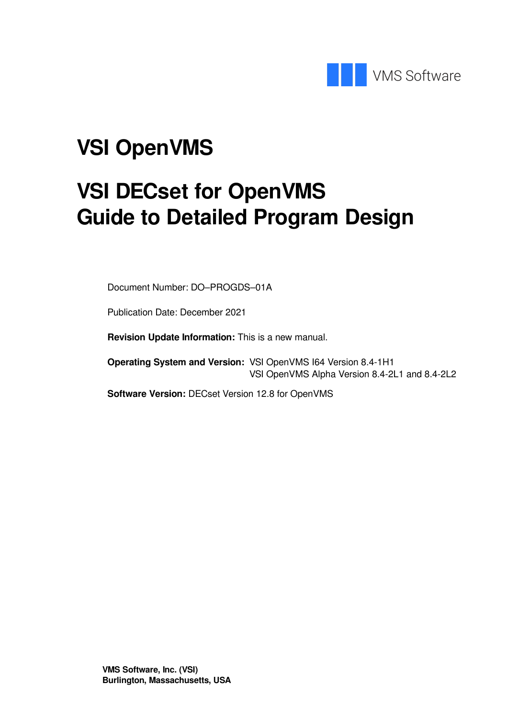

# **VSI OpenVMS**

# **VSI DECset for OpenVMS Guide to Detailed Program Design**

Document Number: DO–PROGDS–01A

Publication Date: December 2021

**Revision Update Information:** This is a new manual.

**Operating System and Version:** VSI OpenVMS I64 Version 8.4-1H1 VSI OpenVMS Alpha Version 8.4-2L1 and 8.4-2L2

**Software Version:** DECset Version 12.8 for OpenVMS

**VMS Software, Inc. (VSI) Burlington, Massachusetts, USA**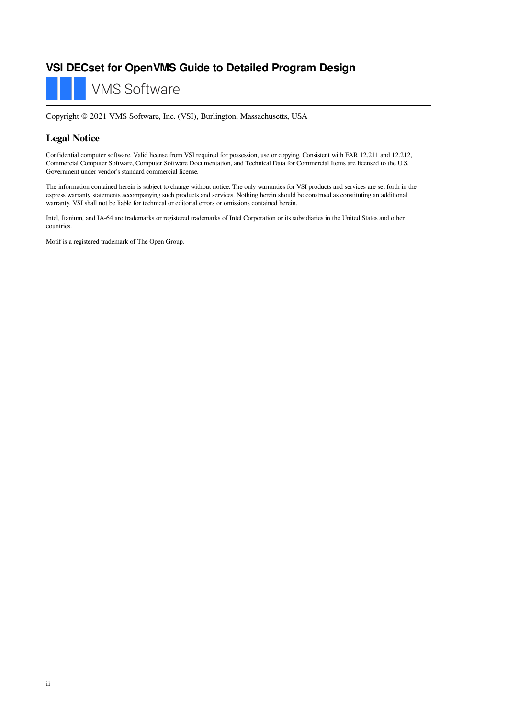#### **VSI DECset for OpenVMS Guide to Detailed Program Design**

**VMS Software** 

Copyright © 2021 VMS Software, Inc. (VSI), Burlington, Massachusetts, USA

#### **Legal Notice**

Confidential computer software. Valid license from VSI required for possession, use or copying. Consistent with FAR 12.211 and 12.212, Commercial Computer Software, Computer Software Documentation, and Technical Data for Commercial Items are licensed to the U.S. Government under vendor's standard commercial license.

The information contained herein is subject to change without notice. The only warranties for VSI products and services are set forth in the express warranty statements accompanying such products and services. Nothing herein should be construed as constituting an additional warranty. VSI shall not be liable for technical or editorial errors or omissions contained herein.

Intel, Itanium, and IA-64 are trademarks or registered trademarks of Intel Corporation or its subsidiaries in the United States and other countries.

Motif is a registered trademark of The Open Group.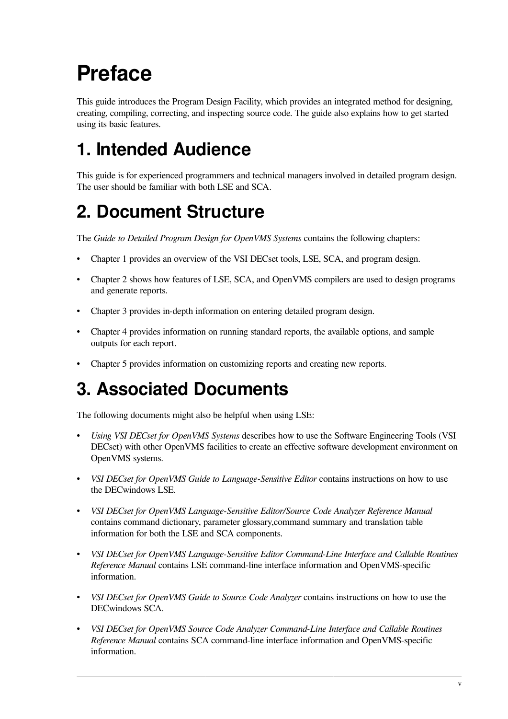# <span id="page-4-0"></span>**Preface**

This guide introduces the Program Design Facility, which provides an integrated method for designing, creating, compiling, correcting, and inspecting source code. The guide also explains how to get started using its basic features.

# <span id="page-4-1"></span>**1. Intended Audience**

This guide is for experienced programmers and technical managers involved in detailed program design. The user should be familiar with both LSE and SCA.

# <span id="page-4-2"></span>**2. Document Structure**

The *Guide to Detailed Program Design for OpenVMS Systems* contains the following chapters:

- [Chapter](#page-6-0) 1 provides an overview of the VSI DECset tools, LSE, SCA, and program design.
- [Chapter](#page-8-0) 2 shows how features of LSE, SCA, and OpenVMS compilers are used to design programs and generate reports.
- [Chapter](#page-18-0) 3 provides in-depth information on entering detailed program design.
- [Chapter](#page-26-0) 4 provides information on running standard reports, the available options, and sample outputs for each report.
- [Chapter](#page-48-0) 5 provides information on customizing reports and creating new reports.

# <span id="page-4-3"></span>**3. Associated Documents**

The following documents might also be helpful when using LSE:

- *Using VSI DECset for OpenVMS Systems* describes how to use the Software Engineering Tools (VSI DECset) with other OpenVMS facilities to create an effective software development environment on OpenVMS systems.
- *VSI DECset for OpenVMS Guide to Language-Sensitive Editor* contains instructions on how to use the DECwindows LSE.
- *VSI DECset for OpenVMS Language-Sensitive Editor/Source Code Analyzer Reference Manual* contains command dictionary, parameter glossary,command summary and translation table information for both the LSE and SCA components.
- *VSI DECset for OpenVMS Language-Sensitive Editor Command-Line Interface and Callable Routines Reference Manual* contains LSE command-line interface information and OpenVMS-specific information.
- *VSI DECset for OpenVMS Guide to Source Code Analyzer* contains instructions on how to use the DECwindows SCA.
- *VSI DECset for OpenVMS Source Code Analyzer Command-Line Interface and Callable Routines Reference Manual* contains SCA command-line interface information and OpenVMS-specific information.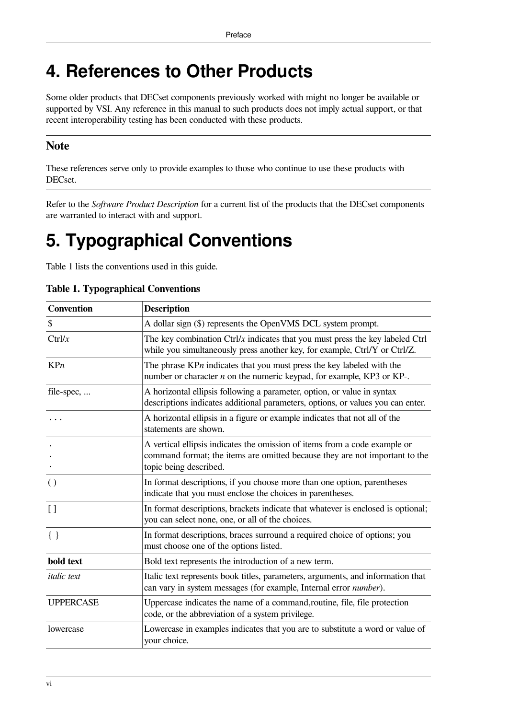# <span id="page-5-0"></span>**4. References to Other Products**

Some older products that DECset components previously worked with might no longer be available or supported by VSI. Any reference in this manual to such products does not imply actual support, or that recent interoperability testing has been conducted with these products.

#### **Note**

These references serve only to provide examples to those who continue to use these products with DECset.

Refer to the *Software Product Description* for a current list of the products that the DECset components are warranted to interact with and support.

# <span id="page-5-1"></span>**5. Typographical Conventions**

<span id="page-5-2"></span>[Table](#page-5-2) 1 lists the conventions used in this guide.

|  |  | <b>Table 1. Typographical Conventions</b> |  |  |
|--|--|-------------------------------------------|--|--|
|--|--|-------------------------------------------|--|--|

| <b>Convention</b>  | <b>Description</b>                                                                                                                                                                  |
|--------------------|-------------------------------------------------------------------------------------------------------------------------------------------------------------------------------------|
| \$                 | A dollar sign (\$) represents the OpenVMS DCL system prompt.                                                                                                                        |
| Ctrl/x             | The key combination $\frac{Ctrl}{x}$ indicates that you must press the key labeled $\frac{Ctrl}{x}$<br>while you simultaneously press another key, for example, Ctrl/Y or Ctrl/Z.   |
| KPn                | The phrase $K\mathbb{P}n$ indicates that you must press the key labeled with the<br>number or character $n$ on the numeric keypad, for example, KP3 or KP-.                         |
| file-spec,         | A horizontal ellipsis following a parameter, option, or value in syntax<br>descriptions indicates additional parameters, options, or values you can enter.                          |
|                    | A horizontal ellipsis in a figure or example indicates that not all of the<br>statements are shown.                                                                                 |
|                    | A vertical ellipsis indicates the omission of items from a code example or<br>command format; the items are omitted because they are not important to the<br>topic being described. |
| $\left( \right)$   | In format descriptions, if you choose more than one option, parentheses<br>indicate that you must enclose the choices in parentheses.                                               |
| $\left[ \ \right]$ | In format descriptions, brackets indicate that whatever is enclosed is optional;<br>you can select none, one, or all of the choices.                                                |
| $\{\ \}$           | In format descriptions, braces surround a required choice of options; you<br>must choose one of the options listed.                                                                 |
| bold text          | Bold text represents the introduction of a new term.                                                                                                                                |
| <i>italic</i> text | Italic text represents book titles, parameters, arguments, and information that<br>can vary in system messages (for example, Internal error number).                                |
| <b>UPPERCASE</b>   | Uppercase indicates the name of a command, routine, file, file protection<br>code, or the abbreviation of a system privilege.                                                       |
| lowercase          | Lowercase in examples indicates that you are to substitute a word or value of<br>your choice.                                                                                       |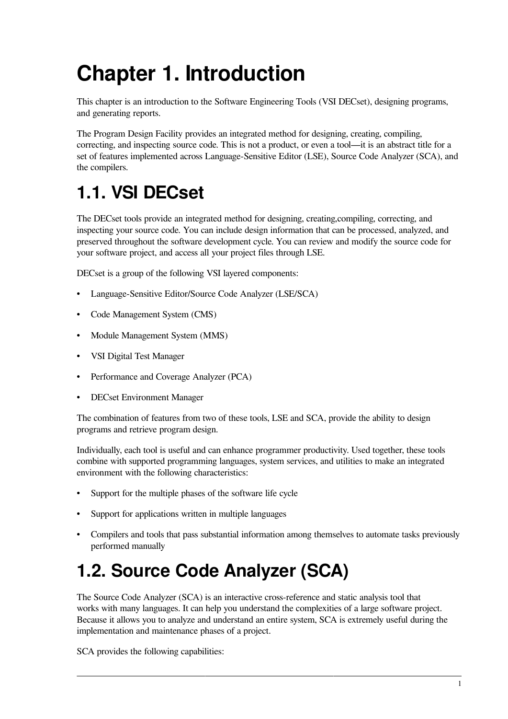# <span id="page-6-0"></span>**Chapter 1. Introduction**

This chapter is an introduction to the Software Engineering Tools (VSI DECset), designing programs, and generating reports.

The Program Design Facility provides an integrated method for designing, creating, compiling, correcting, and inspecting source code. This is not a product, or even a tool—it is an abstract title for a set of features implemented across Language-Sensitive Editor (LSE), Source Code Analyzer (SCA), and the compilers.

# <span id="page-6-1"></span>**1.1. VSI DECset**

The DECset tools provide an integrated method for designing, creating,compiling, correcting, and inspecting your source code. You can include design information that can be processed, analyzed, and preserved throughout the software development cycle. You can review and modify the source code for your software project, and access all your project files through LSE.

DECset is a group of the following VSI layered components:

- Language-Sensitive Editor/Source Code Analyzer (LSE/SCA)
- Code Management System (CMS)
- Module Management System (MMS)
- VSI Digital Test Manager
- Performance and Coverage Analyzer (PCA)
- DECset Environment Manager

The combination of features from two of these tools, LSE and SCA, provide the ability to design programs and retrieve program design.

Individually, each tool is useful and can enhance programmer productivity. Used together, these tools combine with supported programming languages, system services, and utilities to make an integrated environment with the following characteristics:

- Support for the multiple phases of the software life cycle
- Support for applications written in multiple languages
- Compilers and tools that pass substantial information among themselves to automate tasks previously performed manually

# <span id="page-6-2"></span>**1.2. Source Code Analyzer (SCA)**

The Source Code Analyzer (SCA) is an interactive cross-reference and static analysis tool that works with many languages. It can help you understand the complexities of a large software project. Because it allows you to analyze and understand an entire system, SCA is extremely useful during the implementation and maintenance phases of a project.

SCA provides the following capabilities: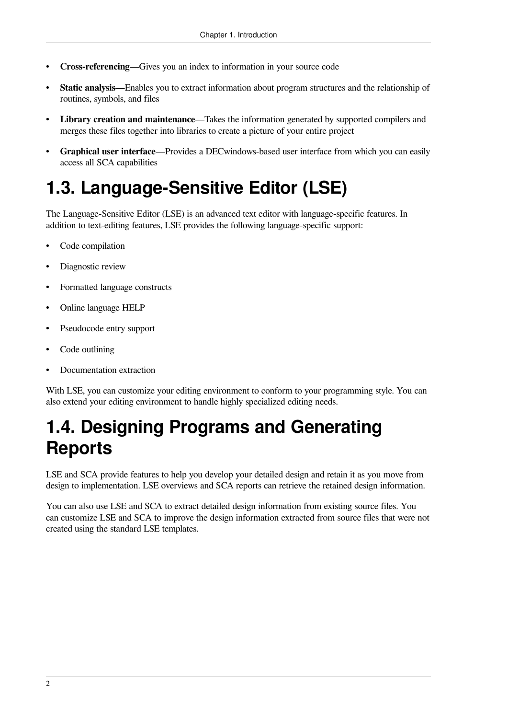- **Cross-referencing**—Gives you an index to information in your source code
- **Static analysis**—Enables you to extract information about program structures and the relationship of routines, symbols, and files
- **Library creation and maintenance**—Takes the information generated by supported compilers and merges these files together into libraries to create a picture of your entire project
- **Graphical user interface**—Provides a DECwindows-based user interface from which you can easily access all SCA capabilities

# <span id="page-7-0"></span>**1.3. Language-Sensitive Editor (LSE)**

The Language-Sensitive Editor (LSE) is an advanced text editor with language-specific features. In addition to text-editing features, LSE provides the following language-specific support:

- Code compilation
- Diagnostic review
- Formatted language constructs
- Online language HELP
- Pseudocode entry support
- Code outlining
- Documentation extraction

With LSE, you can customize your editing environment to conform to your programming style. You can also extend your editing environment to handle highly specialized editing needs.

# <span id="page-7-1"></span>**1.4. Designing Programs and Generating Reports**

LSE and SCA provide features to help you develop your detailed design and retain it as you move from design to implementation. LSE overviews and SCA reports can retrieve the retained design information.

You can also use LSE and SCA to extract detailed design information from existing source files. You can customize LSE and SCA to improve the design information extracted from source files that were not created using the standard LSE templates.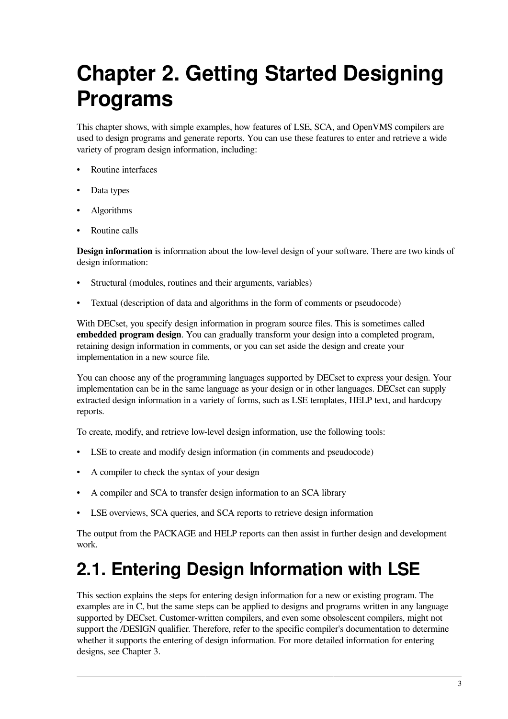# <span id="page-8-0"></span>**Chapter 2. Getting Started Designing Programs**

This chapter shows, with simple examples, how features of LSE, SCA, and OpenVMS compilers are used to design programs and generate reports. You can use these features to enter and retrieve a wide variety of program design information, including:

- Routine interfaces
- Data types
- Algorithms
- Routine calls

**Design information** is information about the low-level design of your software. There are two kinds of design information:

- Structural (modules, routines and their arguments, variables)
- Textual (description of data and algorithms in the form of comments or pseudocode)

With DECset, you specify design information in program source files. This is sometimes called **embedded program design**. You can gradually transform your design into a completed program, retaining design information in comments, or you can set aside the design and create your implementation in a new source file.

You can choose any of the programming languages supported by DECset to express your design. Your implementation can be in the same language as your design or in other languages. DECset can supply extracted design information in a variety of forms, such as LSE templates, HELP text, and hardcopy reports.

To create, modify, and retrieve low-level design information, use the following tools:

- LSE to create and modify design information (in comments and pseudocode)
- A compiler to check the syntax of your design
- A compiler and SCA to transfer design information to an SCA library
- LSE overviews, SCA queries, and SCA reports to retrieve design information

The output from the PACKAGE and HELP reports can then assist in further design and development work.

# <span id="page-8-1"></span>**2.1. Entering Design Information with LSE**

This section explains the steps for entering design information for a new or existing program. The examples are in C, but the same steps can be applied to designs and programs written in any language supported by DECset. Customer-written compilers, and even some obsolescent compilers, might not support the /DESIGN qualifier. Therefore, refer to the specific compiler's documentation to determine whether it supports the entering of design information. For more detailed information for entering designs, see [Chapter](#page-18-0) 3.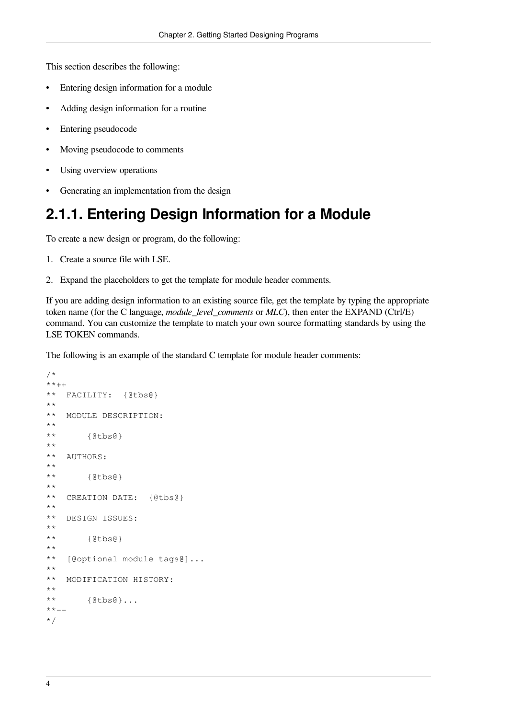This section describes the following:

- Entering design information for a module
- Adding design information for a routine
- Entering pseudocode
- Moving pseudocode to comments
- Using overview operations
- <span id="page-9-0"></span>• Generating an implementation from the design

#### **2.1.1. Entering Design Information for a Module**

To create a new design or program, do the following:

- 1. Create a source file with LSE.
- 2. Expand the placeholders to get the template for module header comments.

If you are adding design information to an existing source file, get the template by typing the appropriate token name (for the C language, *module\_level\_comments* or *MLC*), then enter the EXPAND (Ctrl/E) command. You can customize the template to match your own source formatting standards by using the LSE TOKEN commands.

The following is an example of the standard C template for module header comments:

```
/*
**++
** FACILITY: {@tbs@}
**
** MODULE DESCRIPTION:
**
** {@tbs@}
**
** AUTHORS:
**
** {@tbs@}
**
** CREATION DATE: {@tbs@}
**
** DESIGN ISSUES:
**
** {@tbs@}
**
** [@optional module tags@]...
**
** MODIFICATION HISTORY:
**
** {@tbs@}...
**--
*/
```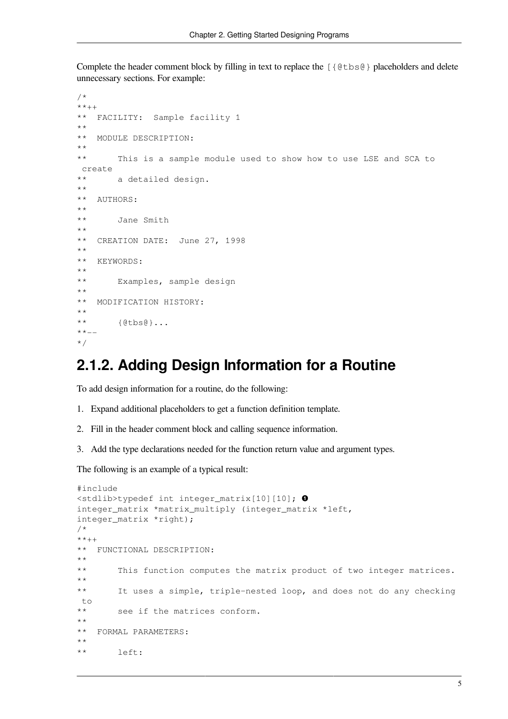Complete the header comment block by filling in text to replace the [{@tbs@} placeholders and delete unnecessary sections. For example:

```
/*
**++
** FACILITY: Sample facility 1
**
** MODULE DESCRIPTION:
**
** This is a sample module used to show how to use LSE and SCA to
 create
** a detailed design.
**
** AUTHORS:
**
** Jane Smith
**
** CREATION DATE: June 27, 1998
**
** KEYWORDS:
**
** Examples, sample design
**
** MODIFICATION HISTORY:
**
** {@tbs@}...
**--
*/
```
#### <span id="page-10-0"></span>**2.1.2. Adding Design Information for a Routine**

To add design information for a routine, do the following:

- 1. Expand additional placeholders to get a function definition template.
- 2. Fill in the header comment block and calling sequence information.
- 3. Add the type declarations needed for the function return value and argument types.

The following is an example of a typical result:

```
#include
<stdlib>typedef int integer_matrix[10][10]; 
integer_matrix *matrix_multiply (integer_matrix *left,
integer_matrix *right);
/*
**++
** FUNCTIONAL DESCRIPTION:
**
** This function computes the matrix product of two integer matrices.
**
** It uses a simple, triple-nested loop, and does not do any checking
 to
** see if the matrices conform.
**
** FORMAL PARAMETERS:
**
** left:
```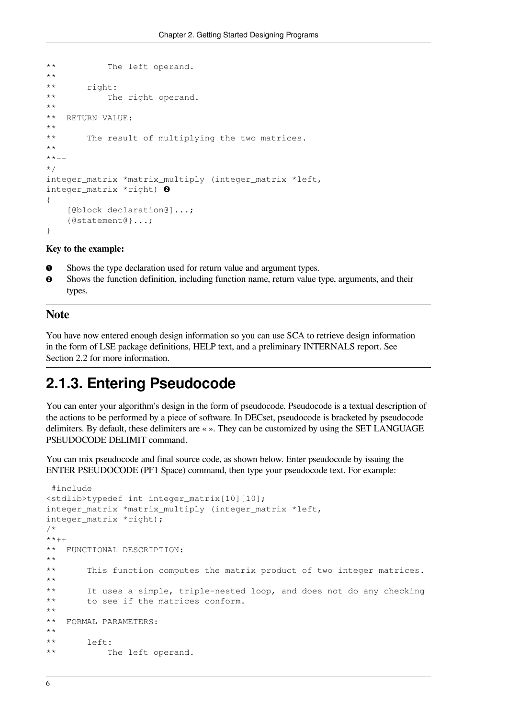```
** The left operand.
**
** right:
** The right operand.
**
** RETURN VALUE:
**
** The result of multiplying the two matrices.
**
**--
*/
integer_matrix *matrix_multiply (integer_matrix *left,
integer_matrix *right) 
{
     [@block declaration@]...;
    {@statement@}...;
}
```
#### **Key to the example:**

- $\bullet$ Shows the type declaration used for return value and argument types.
- $\boldsymbol{\Theta}$ Shows the function definition, including function name, return value type, arguments, and their types.

#### **Note**

You have now entered enough design information so you can use SCA to retrieve design information in the form of LSE package definitions, HELP text, and a preliminary INTERNALS report. See [Section](#page-15-0) 2.2 for more information.

#### <span id="page-11-0"></span>**2.1.3. Entering Pseudocode**

You can enter your algorithm's design in the form of pseudocode. Pseudocode is a textual description of the actions to be performed by a piece of software. In DECset, pseudocode is bracketed by pseudocode delimiters. By default, these delimiters are « ». They can be customized by using the SET LANGUAGE PSEUDOCODE DELIMIT command.

You can mix pseudocode and final source code, as shown below. Enter pseudocode by issuing the ENTER PSEUDOCODE (PF1 Space) command, then type your pseudocode text. For example:

```
 #include
<stdlib>typedef int integer_matrix[10][10];
integer_matrix *matrix_multiply (integer_matrix *left,
integer_matrix *right);
/*
**++
** FUNCTIONAL DESCRIPTION:
**
** This function computes the matrix product of two integer matrices.
**
** It uses a simple, triple-nested loop, and does not do any checking
** to see if the matrices conform.
**
** FORMAL PARAMETERS:
**
** left:
** The left operand.
```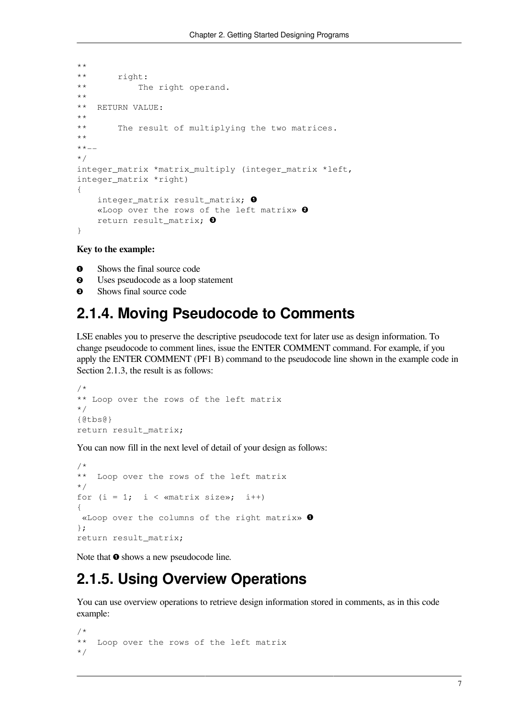```
**
** right:
** The right operand.
**
** RETURN VALUE:
**
** The result of multiplying the two matrices.
**
**--
*/
integer_matrix *matrix_multiply (integer_matrix *left,
integer_matrix *right)
{
    integer_matrix result_matrix; 
    «Loop over the rows of the left matrix» 
    return result_matrix; 
}
```
**Key to the example:**

- $\bullet$ Shows the final source code
- $\boldsymbol{\Theta}$ Uses pseudocode as a loop statement
- <span id="page-12-0"></span>Shows final source code  $\bullet$

#### **2.1.4. Moving Pseudocode to Comments**

LSE enables you to preserve the descriptive pseudocode text for later use as design information. To change pseudocode to comment lines, issue the ENTER COMMENT command. For example, if you apply the ENTER COMMENT (PF1 B) command to the pseudocode line shown in the example code in [Section](#page-11-0) 2.1.3, the result is as follows:

```
/*
** Loop over the rows of the left matrix
*/
{@tbs@}
return result_matrix;
```
You can now fill in the next level of detail of your design as follows:

```
/*
** Loop over the rows of the left matrix
*/
for (i = 1; i < «matrix size»; i^{++})
{
 «Loop over the columns of the right matrix» 
};
return result matrix;
```
Note that  $\bullet$  shows a new pseudocode line.

## <span id="page-12-1"></span>**2.1.5. Using Overview Operations**

You can use overview operations to retrieve design information stored in comments, as in this code example:

```
/*
** Loop over the rows of the left matrix
*/
```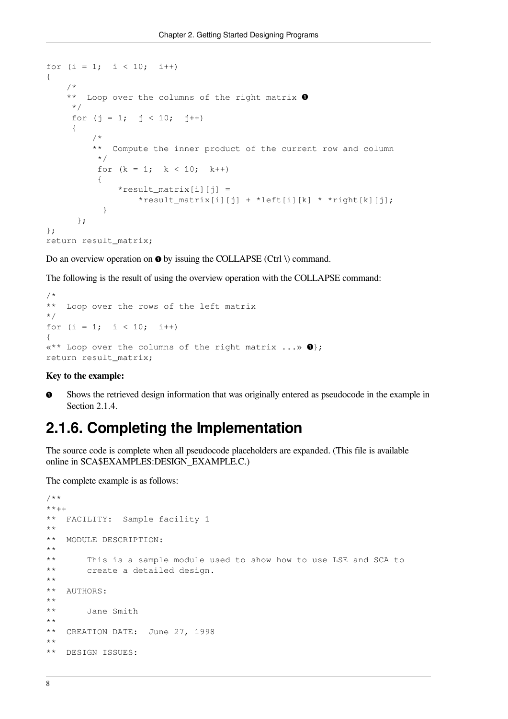```
for (i = 1; i < 10; i++){
     /*
    ** Loop over the columns of the right matrix \bullet */
    for (j = 1; j < 10; j++) {
          /*
          ** Compute the inner product of the current row and column
          */
         for (k = 1; k < 10; k++)\{*result_matrix[i][j] = *result_matrix[i][j] + *left[i][k] * *right[k][j];
 }
       };
};
return result_matrix;
```
Do an overview operation on  $\bullet$  by issuing the COLLAPSE (Ctrl \) command.

The following is the result of using the overview operation with the COLLAPSE command:

```
/*
** Loop over the rows of the left matrix
*/
for (i = 1; i < 10; i++){
«** Loop over the columns of the right matrix \ldots \gg \mathbf{0};
return result matrix;
```
#### **Key to the example:**

Shows the retrieved design information that was originally entered as pseudocode in the example in **CD** [Section](#page-12-0) 2.1.4.

#### <span id="page-13-0"></span>**2.1.6. Completing the Implementation**

The source code is complete when all pseudocode placeholders are expanded. (This file is available online in SCA\$EXAMPLES:DESIGN\_EXAMPLE.C.)

The complete example is as follows:

```
/**
***++** FACILITY: Sample facility 1
**
** MODULE DESCRIPTION:
**
** This is a sample module used to show how to use LSE and SCA to
** create a detailed design.
**
** AUTHORS:
**
** Jane Smith
**
** CREATION DATE: June 27, 1998
**
** DESIGN ISSUES:
```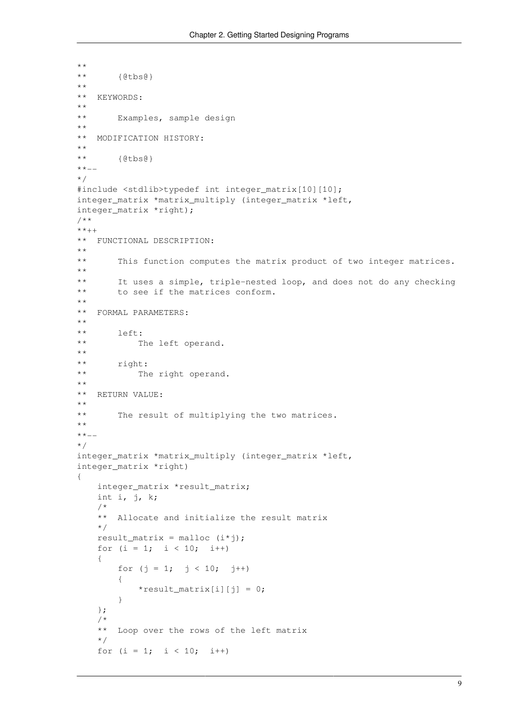```
**
** {@tbs@}
**
** KEYWORDS:
\star \star** Examples, sample design
**
** MODIFICATION HISTORY:
**
** {@tbs@}
**--
*/
#include <stdlib>typedef int integer_matrix[10][10];
integer_matrix *matrix_multiply (integer_matrix *left,
integer_matrix *right);
/**
***++** FUNCTIONAL DESCRIPTION:
**
       This function computes the matrix product of two integer matrices.
**
** It uses a simple, triple-nested loop, and does not do any checking
** to see if the matrices conform.
**
** FORMAL PARAMETERS:
**
** left:
** The left operand.
\star \star** right:
** The right operand.
\star \star** RETURN VALUE:
**
** The result of multiplying the two matrices.
**
***-*/
integer matrix *matrix multiply (integer matrix *left,
integer_matrix *right)
{
   integer matrix *result matrix;
    int i, j, k;
    /*
    ** Allocate and initialize the result matrix
    */
   result matrix = malloc (i * j);
   for (i = 1; i < 10; i++) {
       for (j = 1; j < 10; j++)\{*result_matrix[i][j] = 0;
 }
    };
     /*
    ** Loop over the rows of the left matrix
    */
   for (i = 1; i < 10; i++)
```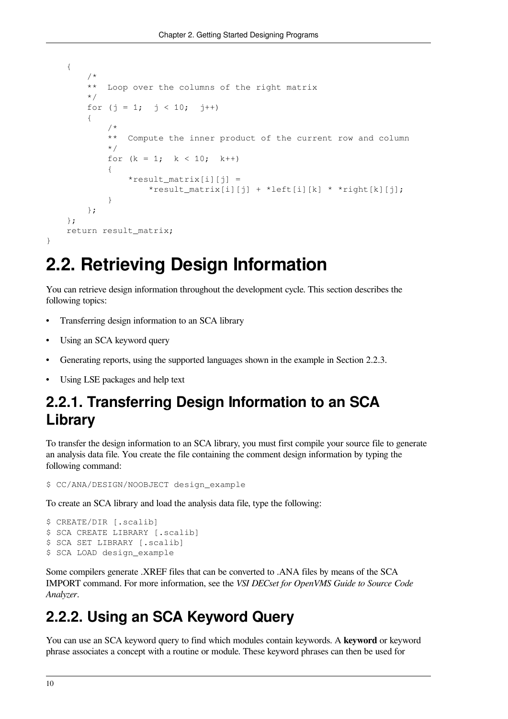```
 {
        /*
        ** Loop over the columns of the right matrix
        */
       for (j = 1; j < 10; j++)\{ /*
            ** Compute the inner product of the current row and column
            */
           for (k = 1; k < 10; k++)\{*result_matrix[i][j] = *result_matrix[i][j] + *left[i][k] * *right[k][j];
 }
        };
    };
   return result matrix;
}
```
# <span id="page-15-0"></span>**2.2. Retrieving Design Information**

You can retrieve design information throughout the development cycle. This section describes the following topics:

- Transferring design information to an SCA library
- Using an SCA keyword query
- Generating reports, using the supported languages shown in the example in [Section](#page-16-0) 2.2.3.
- Using LSE packages and help text

## <span id="page-15-1"></span>**2.2.1. Transferring Design Information to an SCA Library**

To transfer the design information to an SCA library, you must first compile your source file to generate an analysis data file. You create the file containing the comment design information by typing the following command:

```
$ CC/ANA/DESIGN/NOOBJECT design_example
```
To create an SCA library and load the analysis data file, type the following:

```
$ CREATE/DIR [.scalib]
$ SCA CREATE LIBRARY [.scalib]
$ SCA SET LIBRARY [.scalib]
$ SCA LOAD design_example
```
Some compilers generate .XREF files that can be converted to .ANA files by means of the SCA IMPORT command. For more information, see the *VSI DECset for OpenVMS Guide to Source Code Analyzer*.

## <span id="page-15-2"></span>**2.2.2. Using an SCA Keyword Query**

You can use an SCA keyword query to find which modules contain keywords. A **keyword** or keyword phrase associates a concept with a routine or module. These keyword phrases can then be used for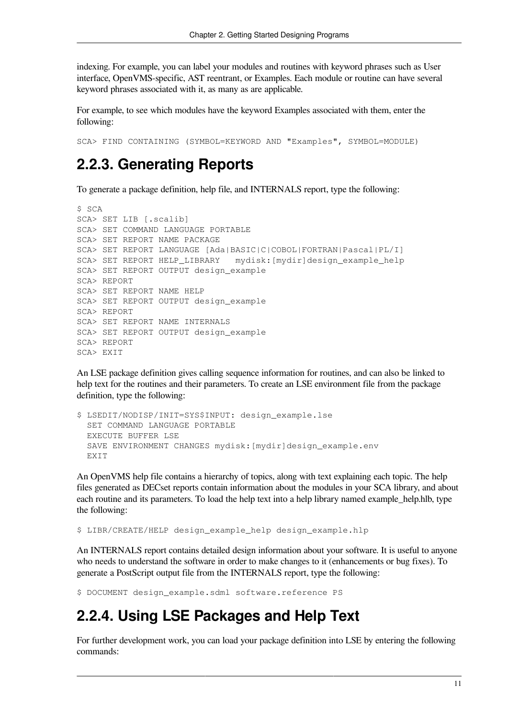indexing. For example, you can label your modules and routines with keyword phrases such as User interface, OpenVMS-specific, AST reentrant, or Examples. Each module or routine can have several keyword phrases associated with it, as many as are applicable.

For example, to see which modules have the keyword Examples associated with them, enter the following:

<span id="page-16-0"></span>SCA> FIND CONTAINING (SYMBOL=KEYWORD AND "Examples", SYMBOL=MODULE)

## **2.2.3. Generating Reports**

To generate a package definition, help file, and INTERNALS report, type the following:

```
$ SCA
SCA> SET LIB [.scalib]
SCA> SET COMMAND LANGUAGE PORTABLE
SCA> SET REPORT NAME PACKAGE
SCA> SET REPORT LANGUAGE [Ada|BASIC|C|COBOL|FORTRAN|Pascal|PL/I]
SCA> SET REPORT HELP_LIBRARY mydisk:[mydir]design_example_help
SCA> SET REPORT OUTPUT design_example
SCA> REPORT
SCA> SET REPORT NAME HELP
SCA> SET REPORT OUTPUT design_example
SCA> REPORT
SCA> SET REPORT NAME INTERNALS
SCA> SET REPORT OUTPUT design_example
SCA> REPORT
SCA> EXIT
```
An LSE package definition gives calling sequence information for routines, and can also be linked to help text for the routines and their parameters. To create an LSE environment file from the package definition, type the following:

```
$ LSEDIT/NODISP/INIT=SYS$INPUT: design_example.lse
  SET COMMAND LANGUAGE PORTABLE
  EXECUTE BUFFER LSE
  SAVE ENVIRONMENT CHANGES mydisk:[mydir]design_example.env
 EXTT
```
An OpenVMS help file contains a hierarchy of topics, along with text explaining each topic. The help files generated as DECset reports contain information about the modules in your SCA library, and about each routine and its parameters. To load the help text into a help library named example\_help.hlb, type the following:

\$ LIBR/CREATE/HELP design\_example\_help design\_example.hlp

An INTERNALS report contains detailed design information about your software. It is useful to anyone who needs to understand the software in order to make changes to it (enhancements or bug fixes). To generate a PostScript output file from the INTERNALS report, type the following:

<span id="page-16-1"></span>\$ DOCUMENT design\_example.sdml software.reference PS

## **2.2.4. Using LSE Packages and Help Text**

For further development work, you can load your package definition into LSE by entering the following commands: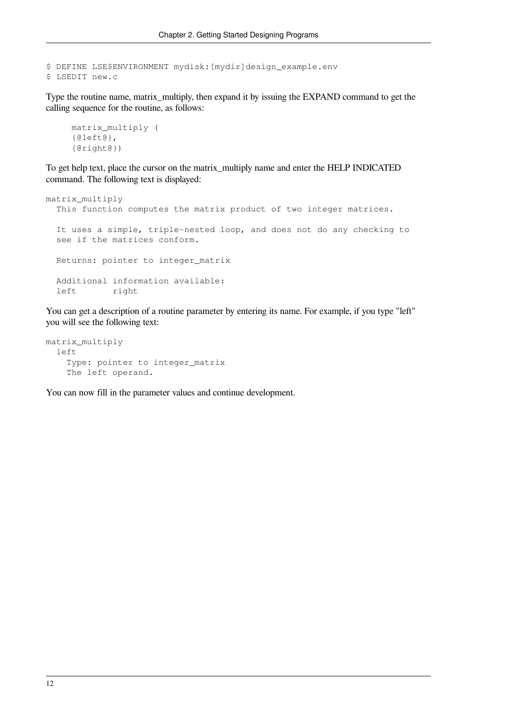```
$ DEFINE LSE$ENVIRONMENT mydisk:[mydir]design_example.env
$ LSEDIT new.c
```
Type the routine name, matrix\_multiply, then expand it by issuing the EXPAND command to get the calling sequence for the routine, as follows:

```
 matrix_multiply (
 {@left@},
 {@right@})
```
To get help text, place the cursor on the matrix\_multiply name and enter the HELP INDICATED command. The following text is displayed:

```
matrix_multiply
   This function computes the matrix product of two integer matrices.
   It uses a simple, triple-nested loop, and does not do any checking to
   see if the matrices conform.
   Returns: pointer to integer_matrix
  Additional information available:
   left right
```
You can get a description of a routine parameter by entering its name. For example, if you type "left" you will see the following text:

```
matrix_multiply
   left
     Type: pointer to integer_matrix
     The left operand.
```
You can now fill in the parameter values and continue development.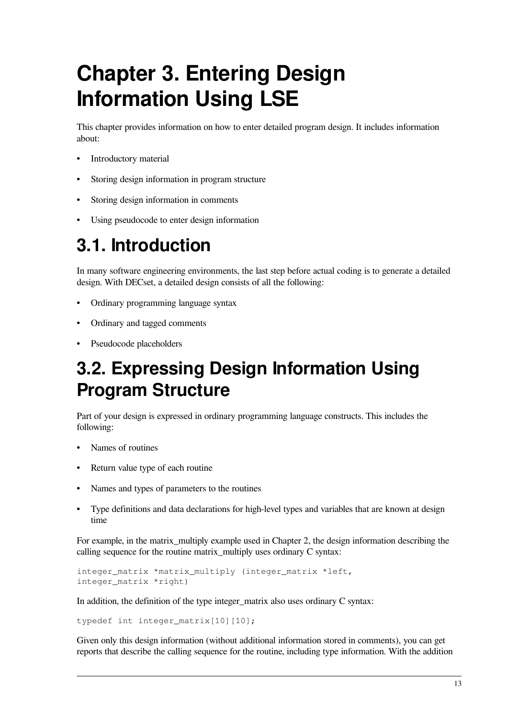# <span id="page-18-0"></span>**Chapter 3. Entering Design Information Using LSE**

This chapter provides information on how to enter detailed program design. It includes information about:

- Introductory material
- Storing design information in program structure
- Storing design information in comments
- Using pseudocode to enter design information

# <span id="page-18-1"></span>**3.1. Introduction**

In many software engineering environments, the last step before actual coding is to generate a detailed design. With DECset, a detailed design consists of all the following:

- Ordinary programming language syntax
- Ordinary and tagged comments
- Pseudocode placeholders

# <span id="page-18-2"></span>**3.2. Expressing Design Information Using Program Structure**

Part of your design is expressed in ordinary programming language constructs. This includes the following:

- Names of routines
- Return value type of each routine
- Names and types of parameters to the routines
- Type definitions and data declarations for high-level types and variables that are known at design time

For example, in the matrix multiply example used in [Chapter](#page-8-0) 2, the design information describing the calling sequence for the routine matrix\_multiply uses ordinary C syntax:

```
integer matrix *matrix multiply (integer matrix *left,
integer_matrix *right)
```
In addition, the definition of the type integer\_matrix also uses ordinary C syntax:

typedef int integer matrix[10][10];

Given only this design information (without additional information stored in comments), you can get reports that describe the calling sequence for the routine, including type information. With the addition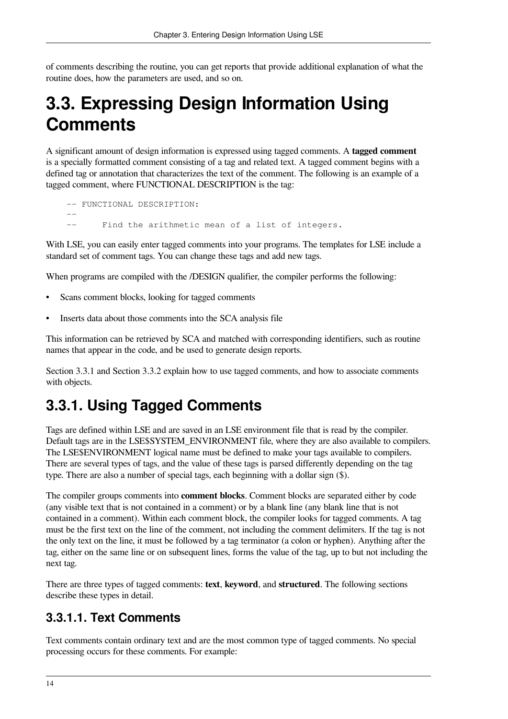of comments describing the routine, you can get reports that provide additional explanation of what the routine does, how the parameters are used, and so on.

# <span id="page-19-0"></span>**3.3. Expressing Design Information Using Comments**

A significant amount of design information is expressed using tagged comments. A **tagged comment** is a specially formatted comment consisting of a tag and related text. A tagged comment begins with a defined tag or annotation that characterizes the text of the comment. The following is an example of a tagged comment, where FUNCTIONAL DESCRIPTION is the tag:

```
-- FUNCTIONAL DESCRIPTION:
 --
    -- Find the arithmetic mean of a list of integers.
```
With LSE, you can easily enter tagged comments into your programs. The templates for LSE include a standard set of comment tags. You can change these tags and add new tags.

When programs are compiled with the /DESIGN qualifier, the compiler performs the following:

- Scans comment blocks, looking for tagged comments
- Inserts data about those comments into the SCA analysis file

This information can be retrieved by SCA and matched with corresponding identifiers, such as routine names that appear in the code, and be used to generate design reports.

[Section](#page-19-1) 3.3.1 and [Section](#page-21-0) 3.3.2 explain how to use tagged comments, and how to associate comments with objects.

## <span id="page-19-1"></span>**3.3.1. Using Tagged Comments**

Tags are defined within LSE and are saved in an LSE environment file that is read by the compiler. Default tags are in the LSE\$SYSTEM\_ENVIRONMENT file, where they are also available to compilers. The LSE\$ENVIRONMENT logical name must be defined to make your tags available to compilers. There are several types of tags, and the value of these tags is parsed differently depending on the tag type. There are also a number of special tags, each beginning with a dollar sign (\$).

The compiler groups comments into **comment blocks**. Comment blocks are separated either by code (any visible text that is not contained in a comment) or by a blank line (any blank line that is not contained in a comment). Within each comment block, the compiler looks for tagged comments. A tag must be the first text on the line of the comment, not including the comment delimiters. If the tag is not the only text on the line, it must be followed by a tag terminator (a colon or hyphen). Anything after the tag, either on the same line or on subsequent lines, forms the value of the tag, up to but not including the next tag.

There are three types of tagged comments: **text**, **keyword**, and **structured**. The following sections describe these types in detail.

#### <span id="page-19-2"></span>**3.3.1.1. Text Comments**

Text comments contain ordinary text and are the most common type of tagged comments. No special processing occurs for these comments. For example: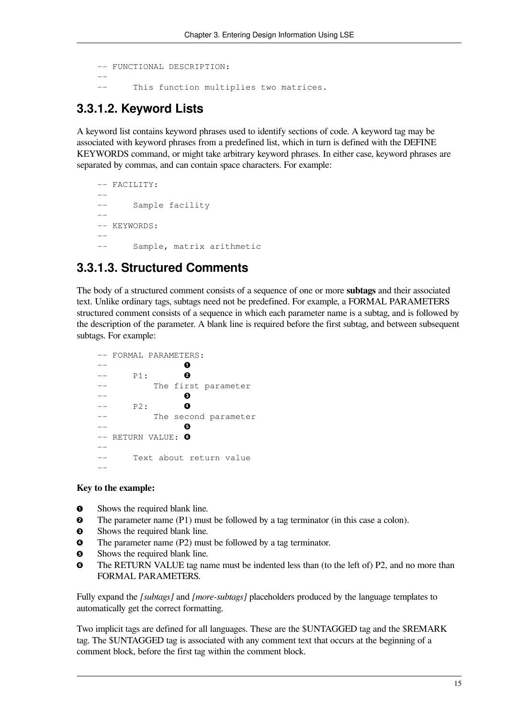```
-- FUNCTIONAL DESCRIPTION:
 --
          This function multiplies two matrices.
```
#### <span id="page-20-0"></span>**3.3.1.2. Keyword Lists**

A keyword list contains keyword phrases used to identify sections of code. A keyword tag may be associated with keyword phrases from a predefined list, which in turn is defined with the DEFINE KEYWORDS command, or might take arbitrary keyword phrases. In either case, keyword phrases are separated by commas, and can contain space characters. For example:

```
 -- FACILITY:
    --
    -- Sample facility
 --
   -- KEYWORDS:
   - -- Sample, matrix arithmetic
```
#### <span id="page-20-1"></span>**3.3.1.3. Structured Comments**

The body of a structured comment consists of a sequence of one or more **subtags** and their associated text. Unlike ordinary tags, subtags need not be predefined. For example, a FORMAL PARAMETERS structured comment consists of a sequence in which each parameter name is a subtag, and is followed by the description of the parameter. A blank line is required before the first subtag, and between subsequent subtags. For example:

```
 –- FORMAL PARAMETERS:
     –- 
                      \bullet\mathbf{e}-- P1:
     –- The first parameter
                      \bullet –- 
                      \bullet-- P2:
     –- The second parameter
 –- 
                      A
    -- RETURN VALUE: 0
     –-
     –- Text about return value
 --
```
#### **Key to the example:**

- $\bullet$ Shows the required blank line.
- $\mathbf{a}$ The parameter name (P1) must be followed by a tag terminator (in this case a colon).
- $\bullet$ Shows the required blank line.
- $\bullet$ The parameter name (P2) must be followed by a tag terminator.
- $\bullet$ Shows the required blank line.
- The RETURN VALUE tag name must be indented less than (to the left of) P2, and no more than  $\bullet$ FORMAL PARAMETERS.

Fully expand the *[subtags]* and *[more-subtags]* placeholders produced by the language templates to automatically get the correct formatting.

Two implicit tags are defined for all languages. These are the \$UNTAGGED tag and the \$REMARK tag. The \$UNTAGGED tag is associated with any comment text that occurs at the beginning of a comment block, before the first tag within the comment block.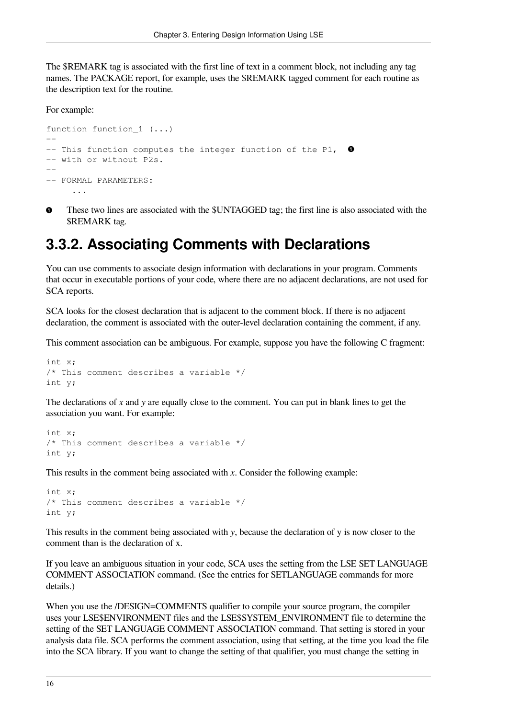The \$REMARK tag is associated with the first line of text in a comment block, not including any tag names. The PACKAGE report, for example, uses the \$REMARK tagged comment for each routine as the description text for the routine.

For example:

```
function function 1 (...)
-- 
- This function computes the integer function of the P1, \bullet-- with or without P2s.
--- FORMAL PARAMETERS:
 ...
```
 $\bullet$ These two lines are associated with the \$UNTAGGED tag; the first line is also associated with the \$REMARK tag.

## <span id="page-21-0"></span>**3.3.2. Associating Comments with Declarations**

You can use comments to associate design information with declarations in your program. Comments that occur in executable portions of your code, where there are no adjacent declarations, are not used for SCA reports.

SCA looks for the closest declaration that is adjacent to the comment block. If there is no adjacent declaration, the comment is associated with the outer-level declaration containing the comment, if any.

This comment association can be ambiguous. For example, suppose you have the following C fragment:

```
int x;
/* This comment describes a variable */
int y;
```
The declarations of *x* and *y* are equally close to the comment. You can put in blank lines to get the association you want. For example:

```
int x;
/* This comment describes a variable */
int y;
```
This results in the comment being associated with *x*. Consider the following example:

```
int x;
/* This comment describes a variable */
int y;
```
This results in the comment being associated with *y*, because the declaration of y is now closer to the comment than is the declaration of x.

If you leave an ambiguous situation in your code, SCA uses the setting from the LSE SET LANGUAGE COMMENT ASSOCIATION command. (See the entries for SETLANGUAGE commands for more details.)

When you use the /DESIGN=COMMENTS qualifier to compile your source program, the compiler uses your LSE\$ENVIRONMENT files and the LSE\$SYSTEM\_ENVIRONMENT file to determine the setting of the SET LANGUAGE COMMENT ASSOCIATION command. That setting is stored in your analysis data file. SCA performs the comment association, using that setting, at the time you load the file into the SCA library. If you want to change the setting of that qualifier, you must change the setting in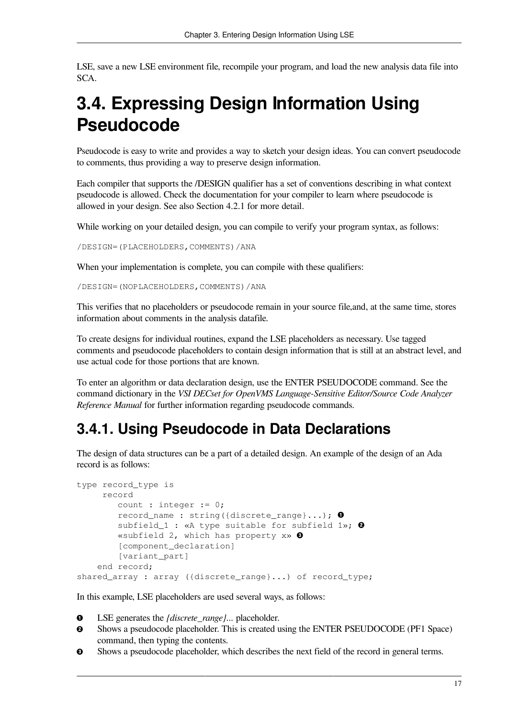LSE, save a new LSE environment file, recompile your program, and load the new analysis data file into SCA.

# <span id="page-22-0"></span>**3.4. Expressing Design Information Using Pseudocode**

Pseudocode is easy to write and provides a way to sketch your design ideas. You can convert pseudocode to comments, thus providing a way to preserve design information.

Each compiler that supports the /DESIGN qualifier has a set of conventions describing in what context pseudocode is allowed. Check the documentation for your compiler to learn where pseudocode is allowed in your design. See also [Section](#page-28-1) 4.2.1 for more detail.

While working on your detailed design, you can compile to verify your program syntax, as follows:

/DESIGN=(PLACEHOLDERS,COMMENTS)/ANA

When your implementation is complete, you can compile with these qualifiers:

/DESIGN=(NOPLACEHOLDERS,COMMENTS)/ANA

This verifies that no placeholders or pseudocode remain in your source file,and, at the same time, stores information about comments in the analysis datafile.

To create designs for individual routines, expand the LSE placeholders as necessary. Use tagged comments and pseudocode placeholders to contain design information that is still at an abstract level, and use actual code for those portions that are known.

To enter an algorithm or data declaration design, use the ENTER PSEUDOCODE command. See the command dictionary in the *VSI DECset for OpenVMS Language-Sensitive Editor/Source Code Analyzer Reference Manual* for further information regarding pseudocode commands.

## <span id="page-22-1"></span>**3.4.1. Using Pseudocode in Data Declarations**

The design of data structures can be a part of a detailed design. An example of the design of an Ada record is as follows:

```
type record_type is
      record
         count : integer := 0;
        record name : string({discrete_range}...); \bulletsubfield_1 : «A type suitable for subfield 1»; @
         «subfield 2, which has property x» 
         [component_declaration]
         [variant_part]
     end record;
shared_array : array ({discrete_range}...) of record_type;
```
In this example, LSE placeholders are used several ways, as follows:

- $\bullet$ LSE generates the *{discrete\_range}...* placeholder.
- $\boldsymbol{\Theta}$ Shows a pseudocode placeholder. This is created using the ENTER PSEUDOCODE (PF1 Space) command, then typing the contents.
- $\bullet$ Shows a pseudocode placeholder, which describes the next field of the record in general terms.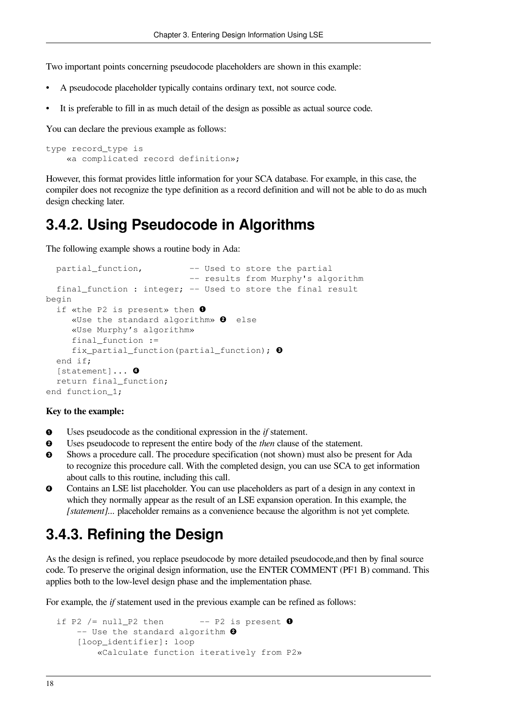Two important points concerning pseudocode placeholders are shown in this example:

- A pseudocode placeholder typically contains ordinary text, not source code.
- It is preferable to fill in as much detail of the design as possible as actual source code.

You can declare the previous example as follows:

```
type record_type is
     «a complicated record definition»;
```
However, this format provides little information for your SCA database. For example, in this case, the compiler does not recognize the type definition as a record definition and will not be able to do as much design checking later.

#### <span id="page-23-0"></span>**3.4.2. Using Pseudocode in Algorithms**

The following example shows a routine body in Ada:

```
partial function, - Used to store the partial
                             -- results from Murphy's algorithm
  final function : integer; -- Used to store the final result
begin
  if «the P2 is present» then \bullet«Use the standard algorithm» \bullet else
      «Use Murphy's algorithm»
     final function :=
      fix_partial_function(partial_function); 
   end if;
  [statement]... 0
   return final_function;
end function_1;
```
#### **Key to the example:**

- $\bullet$ Uses pseudocode as the conditional expression in the *if* statement.
- $\bullet$ Uses pseudocode to represent the entire body of the *then* clause of the statement.
- $\bullet$ Shows a procedure call. The procedure specification (not shown) must also be present for Ada to recognize this procedure call. With the completed design, you can use SCA to get information about calls to this routine, including this call.
- Contains an LSE list placeholder. You can use placeholders as part of a design in any context in  $\bullet$ which they normally appear as the result of an LSE expansion operation. In this example, the *[statement]...* placeholder remains as a convenience because the algorithm is not yet complete.

#### <span id="page-23-1"></span>**3.4.3. Refining the Design**

As the design is refined, you replace pseudocode by more detailed pseudocode,and then by final source code. To preserve the original design information, use the ENTER COMMENT (PF1 B) command. This applies both to the low-level design phase and the implementation phase.

For example, the *if* statement used in the previous example can be refined as follows:

```
if P2 / = null_P2 then -- P2 is present \bullet-- Use the standard algorithm \bullet [loop_identifier]: loop
         «Calculate function iteratively from P2»
```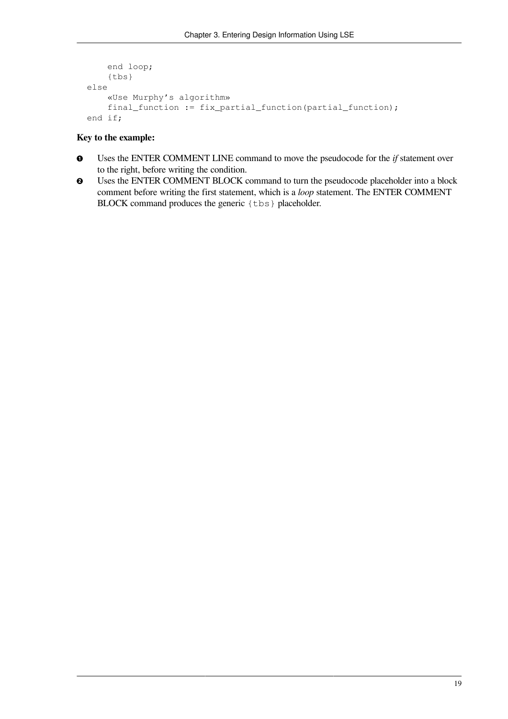```
 end loop;
     {tbs}
 else
     «Use Murphy's algorithm»
     final_function := fix_partial_function(partial_function);
 end if;
```
#### **Key to the example:**

- $\bullet$ Uses the ENTER COMMENT LINE command to move the pseudocode for the *if* statement over to the right, before writing the condition.
- Uses the ENTER COMMENT BLOCK command to turn the pseudocode placeholder into a block  $\mathbf{\Theta}$ comment before writing the first statement, which is a *loop* statement. The ENTER COMMENT BLOCK command produces the generic {tbs} placeholder.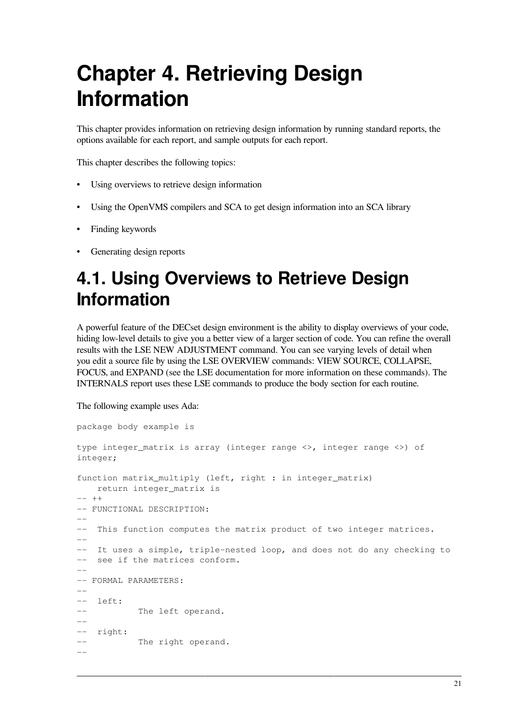# <span id="page-26-0"></span>**Chapter 4. Retrieving Design Information**

This chapter provides information on retrieving design information by running standard reports, the options available for each report, and sample outputs for each report.

This chapter describes the following topics:

- Using overviews to retrieve design information
- Using the OpenVMS compilers and SCA to get design information into an SCA library
- Finding keywords
- <span id="page-26-1"></span>Generating design reports

# **4.1. Using Overviews to Retrieve Design Information**

A powerful feature of the DECset design environment is the ability to display overviews of your code, hiding low-level details to give you a better view of a larger section of code. You can refine the overall results with the LSE NEW ADJUSTMENT command. You can see varying levels of detail when you edit a source file by using the LSE OVERVIEW commands: VIEW SOURCE, COLLAPSE, FOCUS, and EXPAND (see the LSE documentation for more information on these commands). The INTERNALS report uses these LSE commands to produce the body section for each routine.

The following example uses Ada:

```
package body example is
type integer_matrix is array (integer range <>, integer range <>) of
integer;
function matrix_multiply (left, right : in integer_matrix)
    return integer_matrix is
-- ++-- FUNCTIONAL DESCRIPTION:
-–- This function computes the matrix product of two integer matrices.
--
–- It uses a simple, triple-nested loop, and does not do any checking to
–- see if the matrices conform.
--
-- FORMAL PARAMETERS:
-–- left:
-- The left operand.
--
-- right:
           The right operand.
--
```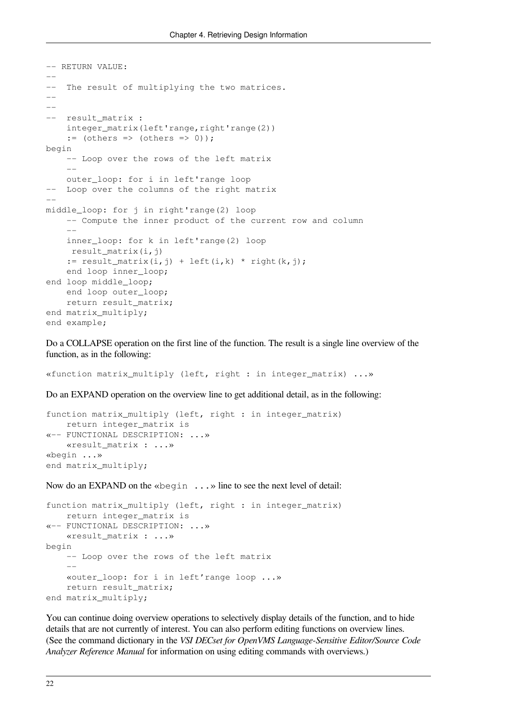```
-- RETURN VALUE:
--
–- The result of multiplying the two matrices.
--
--
  result matrix :
    integer_matrix(left'range, right'range(2))
    := (others => (others => 0));
begin
     -- Loop over the rows of the left matrix
 --
     outer_loop: for i in left'range loop
   Loop over the columns of the right matrix
--
middle_loop: for j in right'range(2) loop
     -- Compute the inner product of the current row and column
 --
     inner_loop: for k in left'range(2) loop
     result_matrix(i,j)
    := result_matrix(i,j) + left(i,k) * right(k,j);
     end loop inner_loop;
end loop middle_loop;
     end loop outer_loop;
     return result_matrix;
end matrix_multiply;
end example;
```
Do a COLLAPSE operation on the first line of the function. The result is a single line overview of the function, as in the following:

«function matrix\_multiply (left, right : in integer\_matrix) ...»

Do an EXPAND operation on the overview line to get additional detail, as in the following:

```
function matrix_multiply (left, right : in integer_matrix)
     return integer_matrix is
«-- FUNCTIONAL DESCRIPTION: ...»
     «result_matrix : ...»
«begin ...»
end matrix_multiply;
```
Now do an EXPAND on the «begin ...» line to see the next level of detail:

```
function matrix multiply (left, right : in integer matrix)
   return integer matrix is
«-- FUNCTIONAL DESCRIPTION: ...»
    «result_matrix : ...»
begin
     -- Loop over the rows of the left matrix
    - «outer_loop: for i in left'range loop ...»
   return result matrix;
end matrix_multiply;
```
You can continue doing overview operations to selectively display details of the function, and to hide details that are not currently of interest. You can also perform editing functions on overview lines. (See the command dictionary in the *VSI DECset for OpenVMS Language-Sensitive Editor/Source Code Analyzer Reference Manual* for information on using editing commands with overviews.)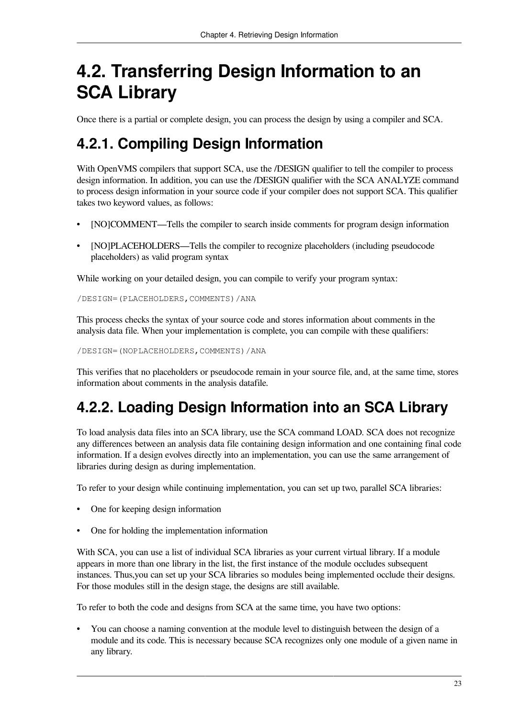# <span id="page-28-0"></span>**4.2. Transferring Design Information to an SCA Library**

Once there is a partial or complete design, you can process the design by using a compiler and SCA.

## <span id="page-28-1"></span>**4.2.1. Compiling Design Information**

With OpenVMS compilers that support SCA, use the */DESIGN* qualifier to tell the compiler to process design information. In addition, you can use the /DESIGN qualifier with the SCA ANALYZE command to process design information in your source code if your compiler does not support SCA. This qualifier takes two keyword values, as follows:

- [NO]COMMENT—Tells the compiler to search inside comments for program design information
- [NO]PLACEHOLDERS—Tells the compiler to recognize placeholders (including pseudocode placeholders) as valid program syntax

While working on your detailed design, you can compile to verify your program syntax:

/DESIGN=(PLACEHOLDERS,COMMENTS)/ANA

This process checks the syntax of your source code and stores information about comments in the analysis data file. When your implementation is complete, you can compile with these qualifiers:

/DESIGN=(NOPLACEHOLDERS,COMMENTS)/ANA

This verifies that no placeholders or pseudocode remain in your source file, and, at the same time, stores information about comments in the analysis datafile.

## <span id="page-28-2"></span>**4.2.2. Loading Design Information into an SCA Library**

To load analysis data files into an SCA library, use the SCA command LOAD. SCA does not recognize any differences between an analysis data file containing design information and one containing final code information. If a design evolves directly into an implementation, you can use the same arrangement of libraries during design as during implementation.

To refer to your design while continuing implementation, you can set up two, parallel SCA libraries:

- One for keeping design information
- One for holding the implementation information

With SCA, you can use a list of individual SCA libraries as your current virtual library. If a module appears in more than one library in the list, the first instance of the module occludes subsequent instances. Thus,you can set up your SCA libraries so modules being implemented occlude their designs. For those modules still in the design stage, the designs are still available.

To refer to both the code and designs from SCA at the same time, you have two options:

• You can choose a naming convention at the module level to distinguish between the design of a module and its code. This is necessary because SCA recognizes only one module of a given name in any library.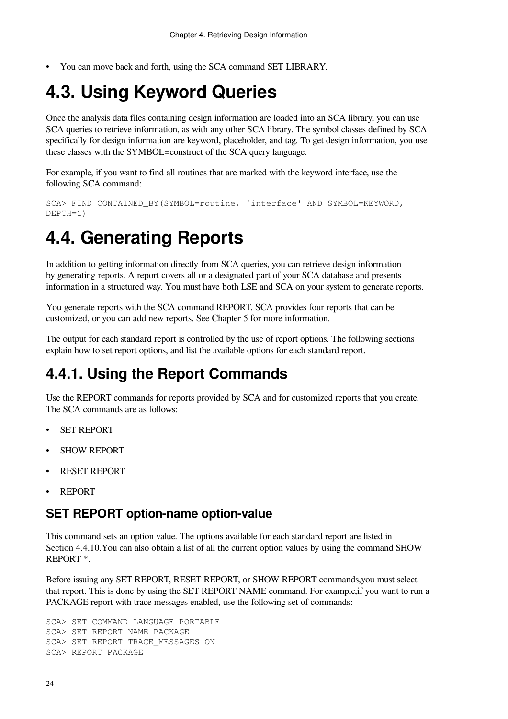<span id="page-29-0"></span>• You can move back and forth, using the SCA command SET LIBRARY.

## **4.3. Using Keyword Queries**

Once the analysis data files containing design information are loaded into an SCA library, you can use SCA queries to retrieve information, as with any other SCA library. The symbol classes defined by SCA specifically for design information are keyword, placeholder, and tag. To get design information, you use these classes with the SYMBOL=construct of the SCA query language.

For example, if you want to find all routines that are marked with the keyword interface, use the following SCA command:

```
SCA> FIND CONTAINED_BY(SYMBOL=routine, 'interface' AND SYMBOL=KEYWORD,
DEPTH=1)
```
## <span id="page-29-1"></span>**4.4. Generating Reports**

In addition to getting information directly from SCA queries, you can retrieve design information by generating reports. A report covers all or a designated part of your SCA database and presents information in a structured way. You must have both LSE and SCA on your system to generate reports.

You generate reports with the SCA command REPORT. SCA provides four reports that can be customized, or you can add new reports. See [Chapter](#page-48-0) 5 for more information.

The output for each standard report is controlled by the use of report options. The following sections explain how to set report options, and list the available options for each standard report.

## <span id="page-29-2"></span>**4.4.1. Using the Report Commands**

Use the REPORT commands for reports provided by SCA and for customized reports that you create. The SCA commands are as follows:

- **SET REPORT**
- SHOW REPORT
- RESET REPORT
- REPORT

#### **SET REPORT option-name option-value**

This command sets an option value. The options available for each standard report are listed in [Section](#page-44-0) 4.4.10.You can also obtain a list of all the current option values by using the command SHOW REPORT \*.

Before issuing any SET REPORT, RESET REPORT, or SHOW REPORT commands,you must select that report. This is done by using the SET REPORT NAME command. For example,if you want to run a PACKAGE report with trace messages enabled, use the following set of commands:

SCA> SET COMMAND LANGUAGE PORTABLE SCA> SET REPORT NAME PACKAGE SCA> SET REPORT TRACE\_MESSAGES ON SCA> REPORT PACKAGE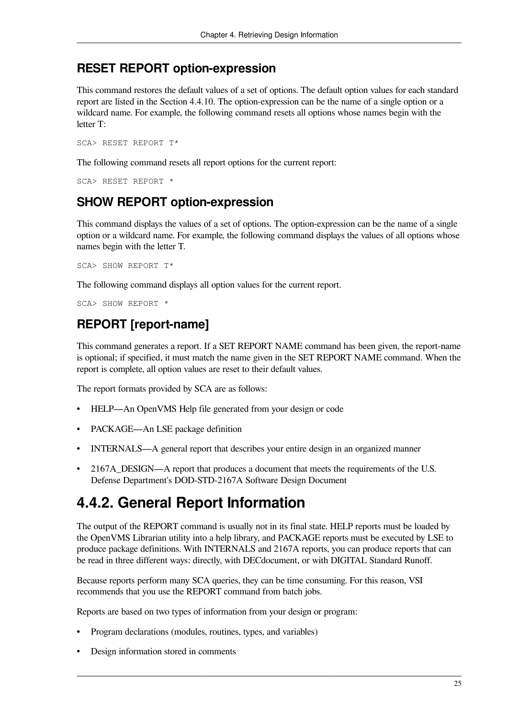#### **RESET REPORT option-expression**

This command restores the default values of a set of options. The default option values for each standard report are listed in the [Section](#page-44-0) 4.4.10. The option-expression can be the name of a single option or a wildcard name. For example, the following command resets all options whose names begin with the letter T:

SCA> RESET REPORT T\*

The following command resets all report options for the current report:

SCA> RESET REPORT \*

#### **SHOW REPORT option-expression**

This command displays the values of a set of options. The option-expression can be the name of a single option or a wildcard name. For example, the following command displays the values of all options whose names begin with the letter T.

SCA> SHOW REPORT T\*

The following command displays all option values for the current report.

SCA> SHOW REPORT \*

#### **REPORT [report-name]**

This command generates a report. If a SET REPORT NAME command has been given, the report-name is optional; if specified, it must match the name given in the SET REPORT NAME command. When the report is complete, all option values are reset to their default values.

The report formats provided by SCA are as follows:

- HELP—An OpenVMS Help file generated from your design or code
- PACKAGE—An LSE package definition
- INTERNALS—A general report that describes your entire design in an organized manner
- 2167A\_DESIGN—A report that produces a document that meets the requirements of the U.S. Defense Department's DOD-STD-2167A Software Design Document

## <span id="page-30-0"></span>**4.4.2. General Report Information**

The output of the REPORT command is usually not in its final state. HELP reports must be loaded by the OpenVMS Librarian utility into a help library, and PACKAGE reports must be executed by LSE to produce package definitions. With INTERNALS and 2167A reports, you can produce reports that can be read in three different ways: directly, with DECdocument, or with DIGITAL Standard Runoff.

Because reports perform many SCA queries, they can be time consuming. For this reason, VSI recommends that you use the REPORT command from batch jobs.

Reports are based on two types of information from your design or program:

- Program declarations (modules, routines, types, and variables)
- Design information stored in comments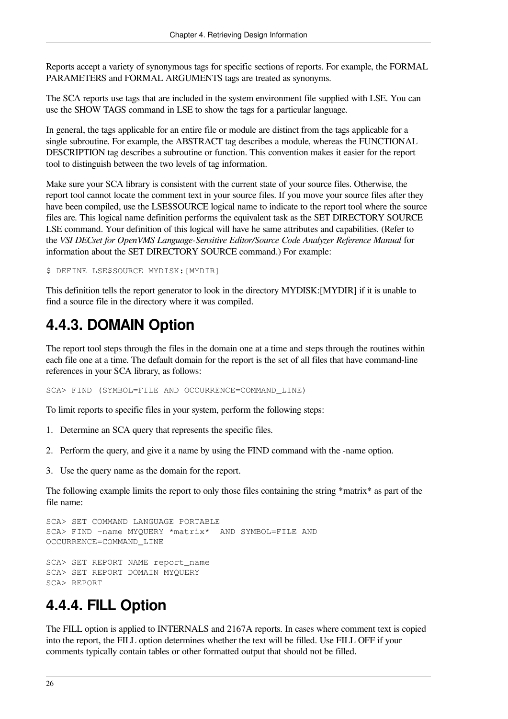Reports accept a variety of synonymous tags for specific sections of reports. For example, the FORMAL PARAMETERS and FORMAL ARGUMENTS tags are treated as synonyms.

The SCA reports use tags that are included in the system environment file supplied with LSE. You can use the SHOW TAGS command in LSE to show the tags for a particular language.

In general, the tags applicable for an entire file or module are distinct from the tags applicable for a single subroutine. For example, the ABSTRACT tag describes a module, whereas the FUNCTIONAL DESCRIPTION tag describes a subroutine or function. This convention makes it easier for the report tool to distinguish between the two levels of tag information.

Make sure your SCA library is consistent with the current state of your source files. Otherwise, the report tool cannot locate the comment text in your source files. If you move your source files after they have been compiled, use the LSE\$SOURCE logical name to indicate to the report tool where the source files are. This logical name definition performs the equivalent task as the SET DIRECTORY SOURCE LSE command. Your definition of this logical will have he same attributes and capabilities. (Refer to the *VSI DECset for OpenVMS Language-Sensitive Editor/Source Code Analyzer Reference Manual* for information about the SET DIRECTORY SOURCE command.) For example:

\$ DEFINE LSE\$SOURCE MYDISK:[MYDIR]

This definition tells the report generator to look in the directory MYDISK:[MYDIR] if it is unable to find a source file in the directory where it was compiled.

## <span id="page-31-0"></span>**4.4.3. DOMAIN Option**

The report tool steps through the files in the domain one at a time and steps through the routines within each file one at a time. The default domain for the report is the set of all files that have command-line references in your SCA library, as follows:

SCA> FIND (SYMBOL=FILE AND OCCURRENCE=COMMAND\_LINE)

To limit reports to specific files in your system, perform the following steps:

- 1. Determine an SCA query that represents the specific files.
- 2. Perform the query, and give it a name by using the FIND command with the -name option.
- 3. Use the query name as the domain for the report.

The following example limits the report to only those files containing the string \*matrix\* as part of the file name:

```
SCA> SET COMMAND LANGUAGE PORTABLE
SCA> FIND -name MYQUERY *matrix* AND SYMBOL=FILE AND
OCCURRENCE=COMMAND_LINE
SCA> SET REPORT NAME report_name
SCA> SET REPORT DOMAIN MYQUERY
SCA> REPORT
```
## <span id="page-31-1"></span>**4.4.4. FILL Option**

The FILL option is applied to INTERNALS and 2167A reports. In cases where comment text is copied into the report, the FILL option determines whether the text will be filled. Use FILL OFF if your comments typically contain tables or other formatted output that should not be filled.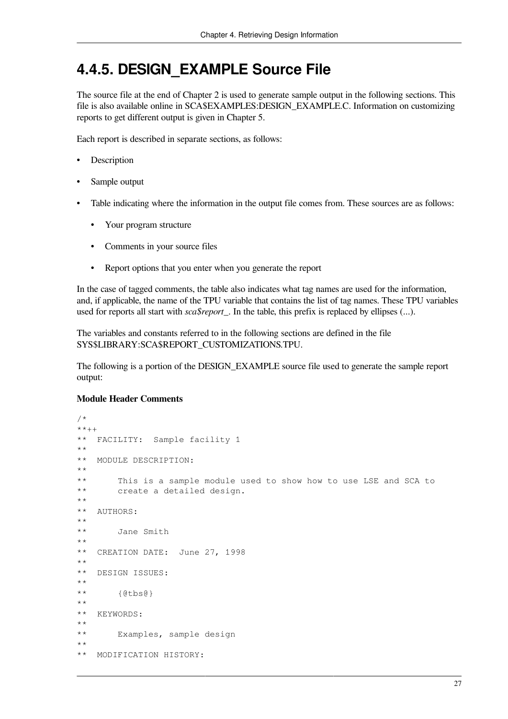## <span id="page-32-0"></span>**4.4.5. DESIGN\_EXAMPLE Source File**

The source file at the end of [Chapter](#page-8-0) 2 is used to generate sample output in the following sections. This file is also available online in SCA\$EXAMPLES:DESIGN\_EXAMPLE.C. Information on customizing reports to get different output is given in [Chapter](#page-48-0) 5.

Each report is described in separate sections, as follows:

- Description
- Sample output
- Table indicating where the information in the output file comes from. These sources are as follows:
	- Your program structure
	- Comments in your source files
	- Report options that you enter when you generate the report

In the case of tagged comments, the table also indicates what tag names are used for the information, and, if applicable, the name of the TPU variable that contains the list of tag names. These TPU variables used for reports all start with *sca\$report\_*. In the table, this prefix is replaced by ellipses (...).

The variables and constants referred to in the following sections are defined in the file SYS\$LIBRARY:SCA\$REPORT\_CUSTOMIZATIONS.TPU.

The following is a portion of the DESIGN\_EXAMPLE source file used to generate the sample report output:

#### **Module Header Comments**

```
/*
**++
** FACILITY: Sample facility 1
**
** MODULE DESCRIPTION:
**
** This is a sample module used to show how to use LSE and SCA to
** create a detailed design.
**
** AUTHORS:
**
** Jane Smith
**
** CREATION DATE: June 27, 1998
**
** DESIGN ISSUES:
**
** {@tbs@}
**
** KEYWORDS:
**
** Examples, sample design
**
** MODIFICATION HISTORY:
```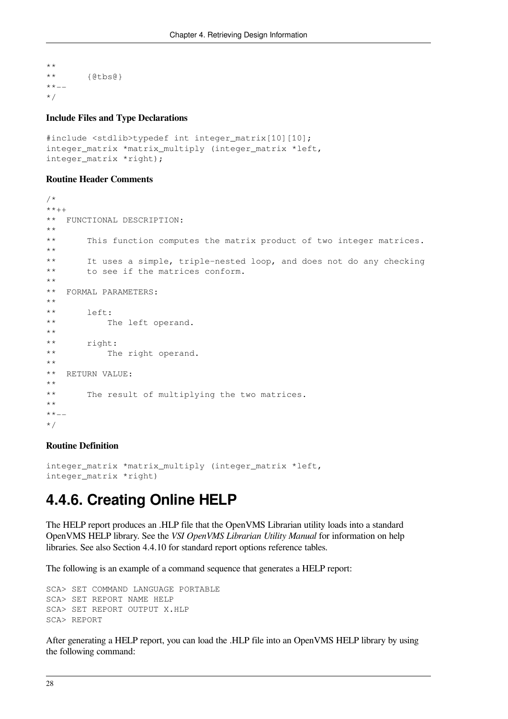```
**
** {@tbs@}
***-*/
```
#### **Include Files and Type Declarations**

```
#include <stdlib>typedef int integer_matrix[10][10];
integer_matrix *matrix_multiply (integer_matrix *left,
integer_matrix *right);
```
#### **Routine Header Comments**

```
/*
**++
** FUNCTIONAL DESCRIPTION:
**
** This function computes the matrix product of two integer matrices.
**
** It uses a simple, triple-nested loop, and does not do any checking
** to see if the matrices conform.
**
** FORMAL PARAMETERS:
**
** left:
** The left operand.
**
** right:
** The right operand.
**
** RETURN VALUE:
**
** The result of multiplying the two matrices.
**
**--
*/
```
#### **Routine Definition**

```
integer_matrix *matrix_multiply (integer_matrix *left,
integer_matrix *right)
```
#### <span id="page-33-0"></span>**4.4.6. Creating Online HELP**

The HELP report produces an .HLP file that the OpenVMS Librarian utility loads into a standard OpenVMS HELP library. See the *VSI OpenVMS Librarian Utility Manual* for information on help libraries. See also [Section](#page-44-0) 4.4.10 for standard report options reference tables.

The following is an example of a command sequence that generates a HELP report:

```
SCA> SET COMMAND LANGUAGE PORTABLE
SCA> SET REPORT NAME HELP
SCA> SET REPORT OUTPUT X.HLP
SCA> REPORT
```
After generating a HELP report, you can load the .HLP file into an OpenVMS HELP library by using the following command: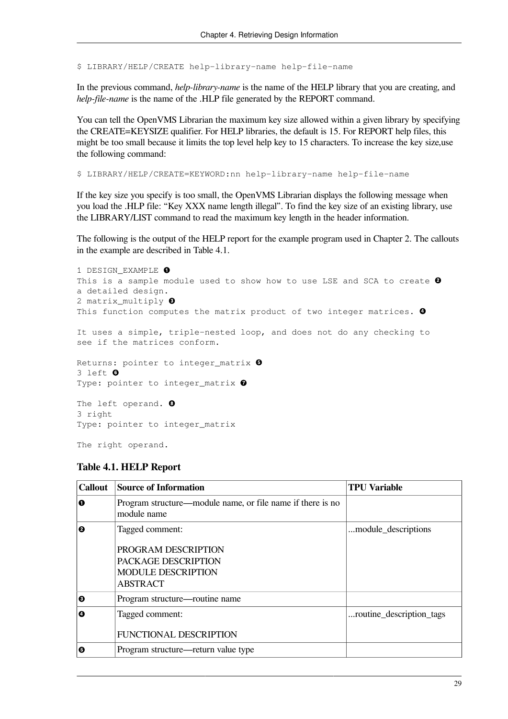\$ LIBRARY/HELP/CREATE help-library-name help-file-name

In the previous command, *help-library-name* is the name of the HELP library that you are creating, and *help-file-name* is the name of the .HLP file generated by the REPORT command.

You can tell the OpenVMS Librarian the maximum key size allowed within a given library by specifying the CREATE=KEYSIZE qualifier. For HELP libraries, the default is 15. For REPORT help files, this might be too small because it limits the top level help key to 15 characters. To increase the key size,use the following command:

\$ LIBRARY/HELP/CREATE=KEYWORD:nn help-library-name help-file-name

If the key size you specify is too small, the OpenVMS Librarian displays the following message when you load the .HLP file: "Key XXX name length illegal". To find the key size of an existing library, use the LIBRARY/LIST command to read the maximum key length in the header information.

The following is the output of the HELP report for the example program used in [Chapter](#page-8-0) 2. The callouts in the example are described in [Table](#page-34-0) 4.1.

```
1 DESIGN EXAMPLE \bulletThis is a sample module used to show how to use LSE and SCA to create \Thetaa detailed design.
2 matrix_multiply <sup>0</sup>
This function computes the matrix product of two integer matrices. \bulletIt uses a simple, triple-nested loop, and does not do any checking to
see if the matrices conform.
Returns: pointer to integer_matrix \bullet3 left 
Type: pointer to integer_matrix 0
The left operand. O
3 right
```
Type: pointer to integer\_matrix

<span id="page-34-0"></span>The right operand.

| <b>Callout</b> | <b>Source of Information</b>                                                                                  | <b>TPU Variable</b>      |
|----------------|---------------------------------------------------------------------------------------------------------------|--------------------------|
| 0              | Program structure—module name, or file name if there is no<br>module name                                     |                          |
| 0              | Tagged comment:<br>PROGRAM DESCRIPTION<br>PACKAGE DESCRIPTION<br><b>MODULE DESCRIPTION</b><br><b>ABSTRACT</b> | module_descriptions      |
| ❸              | Program structure—routine name                                                                                |                          |
| Θ              | Tagged comment:<br><b>FUNCTIONAL DESCRIPTION</b>                                                              | routine_description_tags |
| Θ              | Program structure—return value type                                                                           |                          |

#### **Table 4.1. HELP Report**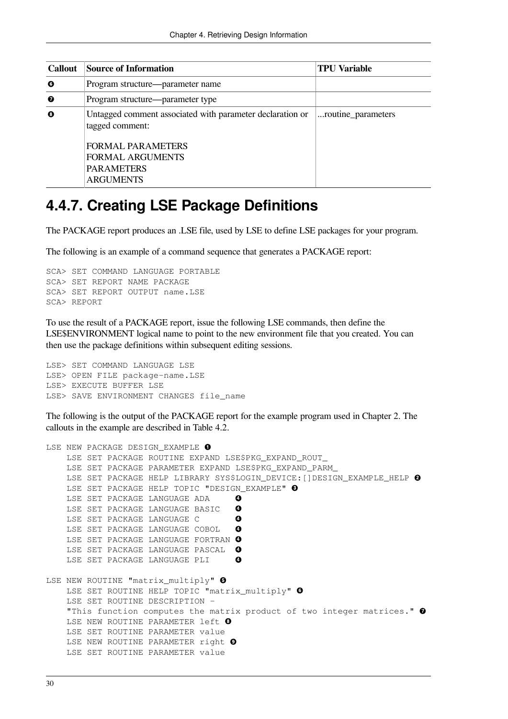| <b>Callout</b> | <b>Source of Information</b>                                                                                                                             | <b>TPU Variable</b> |
|----------------|----------------------------------------------------------------------------------------------------------------------------------------------------------|---------------------|
| 0              | Program structure—parameter name                                                                                                                         |                     |
| ❼              | Program structure—parameter type                                                                                                                         |                     |
| 0              | Untagged comment associated with parameter declaration or<br>tagged comment:<br><b>FORMAL PARAMETERS</b><br><b>FORMAL ARGUMENTS</b><br><b>PARAMETERS</b> | routine_parameters  |
|                | <b>ARGUMENTS</b>                                                                                                                                         |                     |

## <span id="page-35-0"></span>**4.4.7. Creating LSE Package Definitions**

The PACKAGE report produces an .LSE file, used by LSE to define LSE packages for your program.

The following is an example of a command sequence that generates a PACKAGE report:

```
SCA> SET COMMAND LANGUAGE PORTABLE
SCA> SET REPORT NAME PACKAGE
SCA> SET REPORT OUTPUT name.LSE
SCA> REPORT
```
To use the result of a PACKAGE report, issue the following LSE commands, then define the LSE\$ENVIRONMENT logical name to point to the new environment file that you created. You can then use the package definitions within subsequent editing sessions.

LSE> SET COMMAND LANGUAGE LSE LSE> OPEN FILE package-name.LSE LSE> EXECUTE BUFFER LSE LSE> SAVE ENVIRONMENT CHANGES file\_name

The following is the output of the PACKAGE report for the example program used in [Chapter](#page-8-0) 2. The callouts in the example are described in [Table](#page-36-1) 4.2.

```
LSE NEW PACKAGE DESIGN EXAMPLE <sup>O</sup>
     LSE SET PACKAGE ROUTINE EXPAND LSE$PKG_EXPAND_ROUT_
     LSE SET PACKAGE PARAMETER EXPAND LSE$PKG_EXPAND_PARM_
    LSE SET PACKAGE HELP LIBRARY SYS$LOGIN_DEVICE: [] DESIGN_EXAMPLE_HELP @
    LSE SET PACKAGE HELP TOPIC "DESIGN_EXAMPLE" <sup>O</sup>
     LSE SET PACKAGE LANGUAGE ADA 
                                           \bullet\bullet LSE SET PACKAGE LANGUAGE BASIC 
     LSE SET PACKAGE LANGUAGE C 
                                           \mathbf o LSE SET PACKAGE LANGUAGE COBOL 
                                           \bulletLSE SET PACKAGE LANGUAGE FORTRAN <sup>O</sup>
    LSE SET PACKAGE LANGUAGE PASCAL <sup>O</sup>
                                           \boldsymbol{c} LSE SET PACKAGE LANGUAGE PLI 
LSE NEW ROUTINE "matrix_multiply" \ThetaLSE SET ROUTINE HELP TOPIC "matrix_multiply" \bullet LSE SET ROUTINE DESCRIPTION -
    "This function computes the matrix product of two integer matrices." \bulletLSE NEW ROUTINE PARAMETER left <sup>O</sup>
     LSE SET ROUTINE PARAMETER value
    LSE NEW ROUTINE PARAMETER right <sup>O</sup>
     LSE SET ROUTINE PARAMETER value
```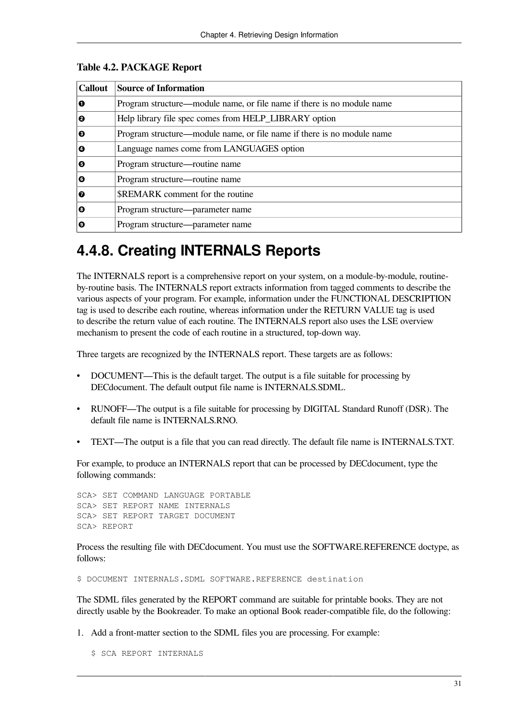| <b>Callout</b> | <b>Source of Information</b>                                           |
|----------------|------------------------------------------------------------------------|
| O              | Program structure—module name, or file name if there is no module name |
| 0              | Help library file spec comes from HELP_LIBRARY option                  |
| ❸              | Program structure—module name, or file name if there is no module name |
| ø              | Language names come from LANGUAGES option                              |
| Θ              | Program structure—routine name                                         |
| Θ              | Program structure—routine name                                         |
| ø              | <b>SREMARK</b> comment for the routine                                 |
| ø              | Program structure—parameter name                                       |
| Ω              | Program structure—parameter name                                       |

#### <span id="page-36-1"></span>**Table 4.2. PACKAGE Report**

## <span id="page-36-0"></span>**4.4.8. Creating INTERNALS Reports**

The INTERNALS report is a comprehensive report on your system, on a module-by-module, routineby-routine basis. The INTERNALS report extracts information from tagged comments to describe the various aspects of your program. For example, information under the FUNCTIONAL DESCRIPTION tag is used to describe each routine, whereas information under the RETURN VALUE tag is used to describe the return value of each routine. The INTERNALS report also uses the LSE overview mechanism to present the code of each routine in a structured, top-down way.

Three targets are recognized by the INTERNALS report. These targets are as follows:

- DOCUMENT—This is the default target. The output is a file suitable for processing by DECdocument. The default output file name is INTERNALS.SDML.
- RUNOFF—The output is a file suitable for processing by DIGITAL Standard Runoff (DSR). The default file name is **INTERNALS RNO**.
- TEXT—The output is a file that you can read directly. The default file name is INTERNALS.TXT.

For example, to produce an INTERNALS report that can be processed by DECdocument, type the following commands:

SCA> SET COMMAND LANGUAGE PORTABLE SCA> SET REPORT NAME INTERNALS SCA> SET REPORT TARGET DOCUMENT SCA> REPORT

Process the resulting file with DECdocument. You must use the SOFTWARE.REFERENCE doctype, as follows:

\$ DOCUMENT INTERNALS.SDML SOFTWARE.REFERENCE destination

The SDML files generated by the REPORT command are suitable for printable books. They are not directly usable by the Bookreader. To make an optional Book reader-compatible file, do the following:

1. Add a front-matter section to the SDML files you are processing. For example:

\$ SCA REPORT INTERNALS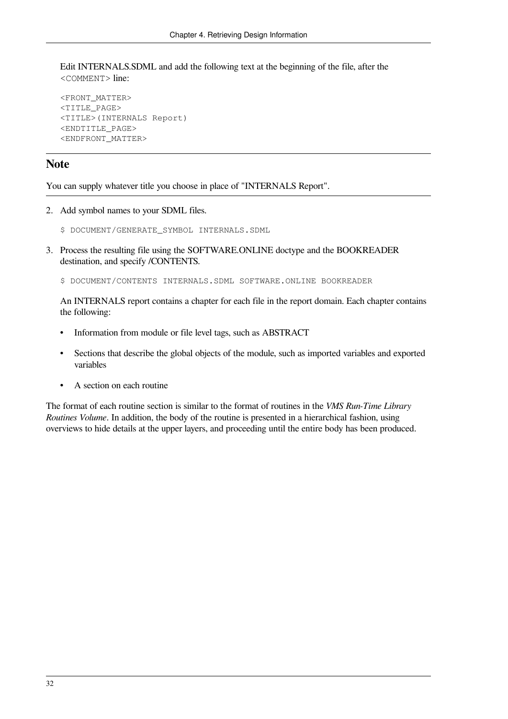Edit INTERNALS.SDML and add the following text at the beginning of the file, after the <COMMENT> line:

```
<FRONT_MATTER>
<TITLE_PAGE>
<TITLE>(INTERNALS Report)
<ENDTITLE_PAGE>
<ENDFRONT_MATTER>
```
#### **Note**

You can supply whatever title you choose in place of "INTERNALS Report".

- 2. Add symbol names to your SDML files.
	- \$ DOCUMENT/GENERATE\_SYMBOL INTERNALS.SDML
- 3. Process the resulting file using the SOFTWARE.ONLINE doctype and the BOOKREADER destination, and specify /CONTENTS.

\$ DOCUMENT/CONTENTS INTERNALS.SDML SOFTWARE.ONLINE BOOKREADER

An INTERNALS report contains a chapter for each file in the report domain. Each chapter contains the following:

- Information from module or file level tags, such as ABSTRACT
- Sections that describe the global objects of the module, such as imported variables and exported variables
- A section on each routine

The format of each routine section is similar to the format of routines in the *VMS Run-Time Library Routines Volume*. In addition, the body of the routine is presented in a hierarchical fashion, using overviews to hide details at the upper layers, and proceeding until the entire body has been produced.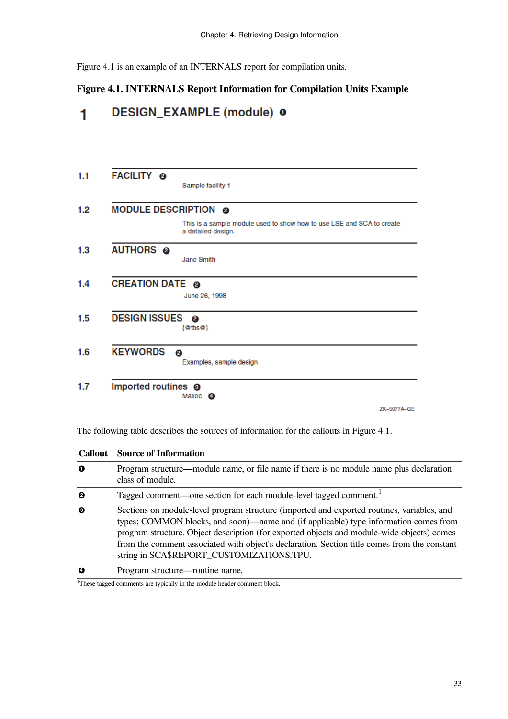<span id="page-38-0"></span>[Figure](#page-38-0) 4.1 is an example of an INTERNALS report for compilation units.

#### **Figure 4.1. INTERNALS Report Information for Compilation Units Example**



The following table describes the sources of information for the callouts in [Figure](#page-38-0) 4.1.

| <b>Callout</b> | <b>Source of Information</b>                                                                                                                                                                                                                                                                                                                                                                                                  |
|----------------|-------------------------------------------------------------------------------------------------------------------------------------------------------------------------------------------------------------------------------------------------------------------------------------------------------------------------------------------------------------------------------------------------------------------------------|
| l o            | Program structure—module name, or file name if there is no module name plus declaration<br>class of module.                                                                                                                                                                                                                                                                                                                   |
| 10             | Tagged comment—one section for each module-level tagged comment. <sup>1</sup>                                                                                                                                                                                                                                                                                                                                                 |
| 0              | Sections on module-level program structure (imported and exported routines, variables, and<br>types; COMMON blocks, and soon)—name and (if applicable) type information comes from<br>program structure. Object description (for exported objects and module-wide objects) comes<br>from the comment associated with object's declaration. Section title comes from the constant<br>string in SCA\$REPORT_CUSTOMIZATIONS.TPU. |
| O              | Program structure—routine name.                                                                                                                                                                                                                                                                                                                                                                                               |

<sup>1</sup>These tagged comments are typically in the module header comment block.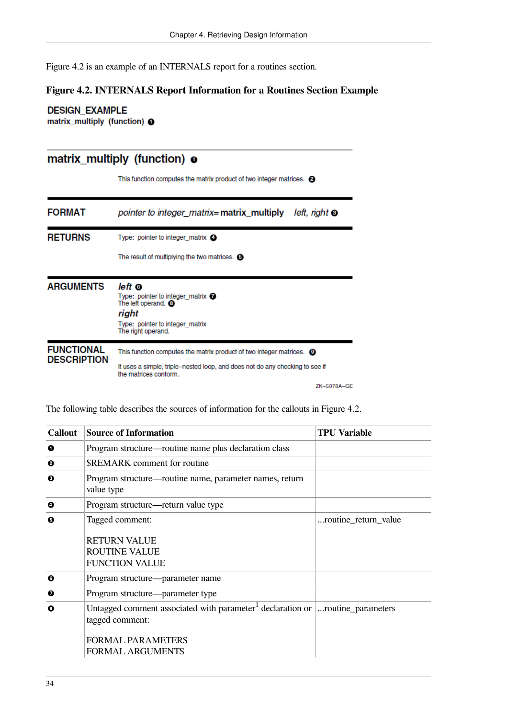<span id="page-39-0"></span>[Figure](#page-39-0) 4.2 is an example of an INTERNALS report for a routines section.

#### **Figure 4.2. INTERNALS Report Information for a Routines Section Example**

**DESIGN\_EXAMPLE** matrix\_multiply (function) <sup>O</sup>

#### matrix\_multiply (function) o

This function computes the matrix product of two integer matrices. <sup>2</sup>

| <b>FORMAT</b>                           | pointer to integer_matrix=matrix_multiply<br>$left$ , right $\odot$                                                                                                                      |
|-----------------------------------------|------------------------------------------------------------------------------------------------------------------------------------------------------------------------------------------|
| <b>RETURNS</b>                          | Type: pointer to integer matrix $\bullet$                                                                                                                                                |
|                                         | The result of multiplying the two matrices. $\bullet$                                                                                                                                    |
| <b>ARGUMENTS</b>                        | left ©<br>Type: pointer to integer matrix $\bullet$<br>The left operand. <sup>4</sup><br>right<br>Type: pointer to integer matrix<br>The right operand.                                  |
| <b>FUNCTIONAL</b><br><b>DESCRIPTION</b> | This function computes the matrix product of two integer matrices. <sup>1</sup><br>It uses a simple, triple–nested loop, and does not do any checking to see if<br>the matrices conform. |

ZK-5078A-GE

The following table describes the sources of information for the callouts in [Figure](#page-39-0) 4.2.

| <b>Callout</b> | <b>Source of Information</b>                                                                                         | TPU Variable         |
|----------------|----------------------------------------------------------------------------------------------------------------------|----------------------|
| 0              | Program structure—routine name plus declaration class                                                                |                      |
| 0              | <b>SREMARK</b> comment for routine                                                                                   |                      |
| ❸              | Program structure—routine name, parameter names, return<br>value type                                                |                      |
| Ø              | Program structure—return value type                                                                                  |                      |
| Θ              | Tagged comment:                                                                                                      | routine_return_value |
|                | <b>RETURN VALUE</b><br><b>ROUTINE VALUE</b><br><b>FUNCTION VALUE</b>                                                 |                      |
| ◶              | Program structure—parameter name                                                                                     |                      |
| ❼              | Program structure—parameter type                                                                                     |                      |
| 0              | Untagged comment associated with parameter <sup>1</sup> declaration or $\vert$ routine_parameters<br>tagged comment: |                      |
|                | <b>FORMAL PARAMETERS</b><br><b>FORMAL ARGUMENTS</b>                                                                  |                      |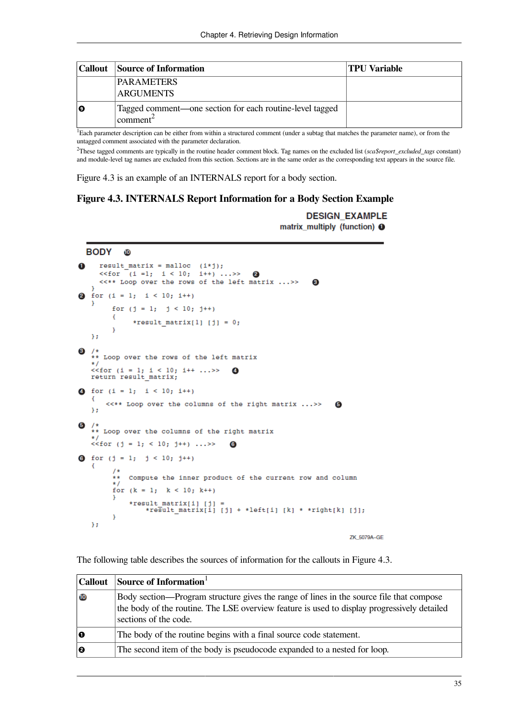|    | Callout   Source of Information                                                           | TPU Variable |
|----|-------------------------------------------------------------------------------------------|--------------|
|    | <b>PARAMETERS</b><br><b>ARGUMENTS</b>                                                     |              |
| 10 | Tagged comment—one section for each routine-level tagged<br>$\epsilon$ comment $\epsilon$ |              |

<sup>1</sup>Each parameter description can be either from within a structured comment (under a subtag that matches the parameter name), or from the untagged comment associated with the parameter declaration.

<sup>2</sup>These tagged comments are typically in the routine header comment block. Tag names on the excluded list (*sca\$report\_excluded\_tags* constant) and module-level tag names are excluded from this section. Sections are in the same order as the corresponding text appears in the source file.

<span id="page-40-0"></span>[Figure](#page-40-0) 4.3 is an example of an INTERNALS report for a body section.

#### **Figure 4.3. INTERNALS Report Information for a Body Section Example**

**DESIGN\_EXAMPLE** matrix\_multiply (function) **O** 

```
BODY
              10
      result matrix = malloc (i * j);
\mathbf{f}<<for (i = 1; i < 10; i++) \dots >>\overline{2}<<** Loop over the rows of the left matrix ...>>
                                                                           \overline{\mathbf{3}}for (i = 1; i < 10; i++)\overline{2}J.
          for (j = 1; j < 10; j++)\mathcal{L}*result_matrix[1] [j] = 0;
          \overline{\mathbf{r}}ν.
   /*<br>** Loop over the rows of the left matrix<br>*/
\mathbf{3}<<for (i = 1; i < 10; i++ ...>><br>return result_matrix;
                                                 \overline{A}4 for (i = 1; i < 10; i++)€
        <<** Loop over the columns of the right matrix ... >>
                                                                                  \overline{\mathbf{5}}γ,
\mathbf{6}/*<br>** Loop over the columns of the right matrix<br>*/
   \sqrt{5} (j = 1; < 10; j++) ...>>
                                                \overline{6}0 for (j = 1; j < 10; j++)₹
          x *Compute the inner product of the current row and column
          \star /
          for (k = 1; k < 10; k++)J.
                *result_matrix[i] [j] =<br>*result_matrix[i] [j] + *left[i] [k] * *right[k] [j];
           þ
    };
```
ZK\_5079A-GE

The following table describes the sources of information for the callouts in [Figure](#page-40-0) 4.3.

| Callout | Source of Information $1$                                                                                                                                                                                       |
|---------|-----------------------------------------------------------------------------------------------------------------------------------------------------------------------------------------------------------------|
| 10      | Body section—Program structure gives the range of lines in the source file that compose<br>the body of the routine. The LSE overview feature is used to display progressively detailed<br>sections of the code. |
| 10      | The body of the routine begins with a final source code statement.                                                                                                                                              |
| 10      | The second item of the body is pseudocode expanded to a nested for loop.                                                                                                                                        |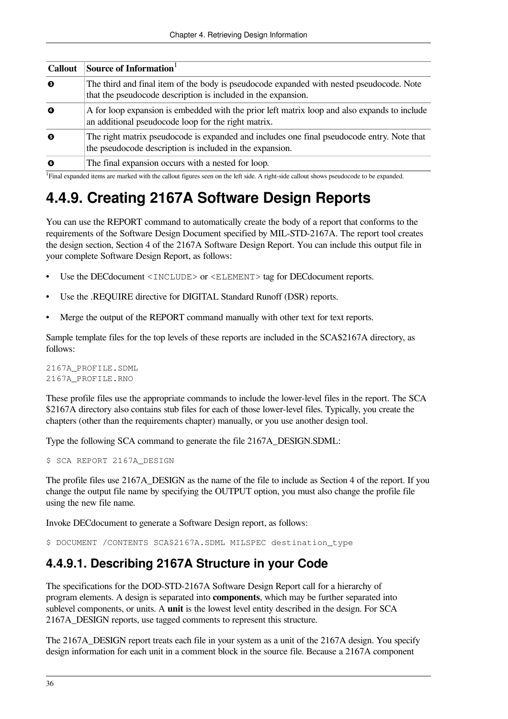| <b>Callout</b> | Source of Information                                                                                                                                     |
|----------------|-----------------------------------------------------------------------------------------------------------------------------------------------------------|
| 10             | The third and final item of the body is pseudocode expanded with nested pseudocode. Note<br>that the pseudocode description is included in the expansion. |
| l O            | A for loop expansion is embedded with the prior left matrix loop and also expands to include<br>an additional pseudocode loop for the right matrix.       |
| 10             | The right matrix pseudocode is expanded and includes one final pseudocode entry. Note that<br>the pseudocode description is included in the expansion.    |
| l 0            | The final expansion occurs with a nested for loop.                                                                                                        |

1 Final expanded items are marked with the callout figures seen on the left side. A right-side callout shows pseudocode to be expanded.

## <span id="page-41-0"></span>**4.4.9. Creating 2167A Software Design Reports**

You can use the REPORT command to automatically create the body of a report that conforms to the requirements of the Software Design Document specified by MIL-STD-2167A. The report tool creates the design section, Section 4 of the 2167A Software Design Report. You can include this output file in your complete Software Design Report, as follows:

- Use the DECdocument <INCLUDE> or <ELEMENT> tag for DECdocument reports.
- Use the .REQUIRE directive for DIGITAL Standard Runoff (DSR) reports.
- Merge the output of the REPORT command manually with other text for text reports.

Sample template files for the top levels of these reports are included in the SCA\$2167A directory, as follows:

2167A\_PROFILE.SDML 2167A\_PROFILE.RNO

These profile files use the appropriate commands to include the lower-level files in the report. The SCA \$2167A directory also contains stub files for each of those lower-level files. Typically, you create the chapters (other than the requirements chapter) manually, or you use another design tool.

Type the following SCA command to generate the file 2167A\_DESIGN.SDML:

\$ SCA REPORT 2167A\_DESIGN

The profile files use 2167A\_DESIGN as the name of the file to include as Section 4 of the report. If you change the output file name by specifying the OUTPUT option, you must also change the profile file using the new file name.

Invoke DECdocument to generate a Software Design report, as follows:

<span id="page-41-1"></span>\$ DOCUMENT / CONTENTS SCA\$2167A.SDML MILSPEC destination type

#### **4.4.9.1. Describing 2167A Structure in your Code**

The specifications for the DOD-STD-2167A Software Design Report call for a hierarchy of program elements. A design is separated into **components**, which may be further separated into sublevel components, or units. A **unit** is the lowest level entity described in the design. For SCA 2167A\_DESIGN reports, use tagged comments to represent this structure.

The 2167A\_DESIGN report treats each file in your system as a unit of the 2167A design. You specify design information for each unit in a comment block in the source file. Because a 2167A component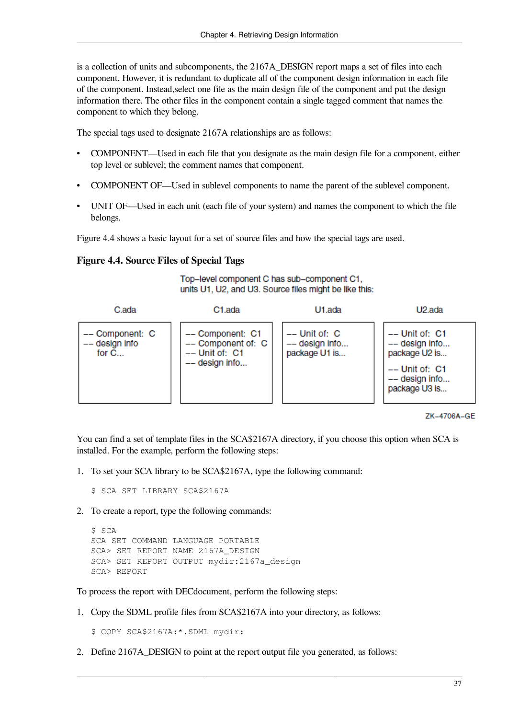is a collection of units and subcomponents, the 2167A\_DESIGN report maps a set of files into each component. However, it is redundant to duplicate all of the component design information in each file of the component. Instead,select one file as the main design file of the component and put the design information there. The other files in the component contain a single tagged comment that names the component to which they belong.

The special tags used to designate 2167A relationships are as follows:

- COMPONENT—Used in each file that you designate as the main design file for a component, either top level or sublevel; the comment names that component.
- COMPONENT OF—Used in sublevel components to name the parent of the sublevel component.
- UNIT OF—Used in each unit (each file of your system) and names the component to which the file belongs.

<span id="page-42-0"></span>[Figure](#page-42-0) 4.4 shows a basic layout for a set of source files and how the special tags are used.

#### **Figure 4.4. Source Files of Special Tags**

Top-level component C has sub-component C1, units U1, U2, and U3. Source files might be like this:



```
ZK-4706A-GE
```
You can find a set of template files in the SCA\$2167A directory, if you choose this option when SCA is installed. For the example, perform the following steps:

1. To set your SCA library to be SCA\$2167A, type the following command:

\$ SCA SET LIBRARY SCA\$2167A

2. To create a report, type the following commands:

```
$ SCA
SCA SET COMMAND LANGUAGE PORTABLE
SCA> SET REPORT NAME 2167A_DESIGN
SCA> SET REPORT OUTPUT mydir:2167a_design
SCA> REPORT
```
To process the report with DECdocument, perform the following steps:

1. Copy the SDML profile files from SCA\$2167A into your directory, as follows:

```
$ COPY SCA$2167A:*.SDML mydir:
```
2. Define 2167A\_DESIGN to point at the report output file you generated, as follows: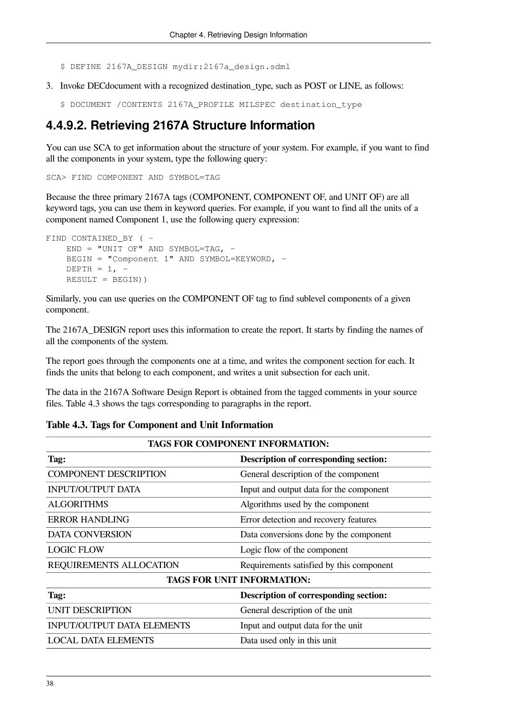- \$ DEFINE 2167A\_DESIGN mydir:2167a\_design.sdml
- 3. Invoke DECdocument with a recognized destination\_type, such as POST or LINE, as follows:
	- \$ DOCUMENT /CONTENTS 2167A\_PROFILE MILSPEC destination\_type

#### <span id="page-43-0"></span>**4.4.9.2. Retrieving 2167A Structure Information**

You can use SCA to get information about the structure of your system. For example, if you want to find all the components in your system, type the following query:

SCA> FIND COMPONENT AND SYMBOL=TAG

Because the three primary 2167A tags (COMPONENT, COMPONENT OF, and UNIT OF) are all keyword tags, you can use them in keyword queries. For example, if you want to find all the units of a component named Component 1, use the following query expression:

```
FIND CONTAINED BY ( -
   END = "UNIT OF" AND SYMBOL=TAG. -
    BEGIN = "Component 1" AND SYMBOL=KEYWORD, -
   DEPTH = 1. -RESULT = BEGIN))
```
Similarly, you can use queries on the COMPONENT OF tag to find sublevel components of a given component.

The 2167A\_DESIGN report uses this information to create the report. It starts by finding the names of all the components of the system.

The report goes through the components one at a time, and writes the component section for each. It finds the units that belong to each component, and writes a unit subsection for each unit.

The data in the 2167A Software Design Report is obtained from the tagged comments in your source files. [Table](#page-43-1) 4.3 shows the tags corresponding to paragraphs in the report.

# **TAGS FOR COMPONENT INFORMATION: Tag: Description of corresponding section:**

#### <span id="page-43-1"></span>**Table 4.3. Tags for Component and Unit Information**

| General description of the component     |  |
|------------------------------------------|--|
| Input and output data for the component  |  |
| Algorithms used by the component         |  |
| Error detection and recovery features    |  |
| Data conversions done by the component   |  |
| Logic flow of the component              |  |
| Requirements satisfied by this component |  |
| <b>TAGS FOR UNIT INFORMATION:</b>        |  |
| Description of corresponding section:    |  |
| General description of the unit          |  |
| Input and output data for the unit       |  |
| Data used only in this unit              |  |
|                                          |  |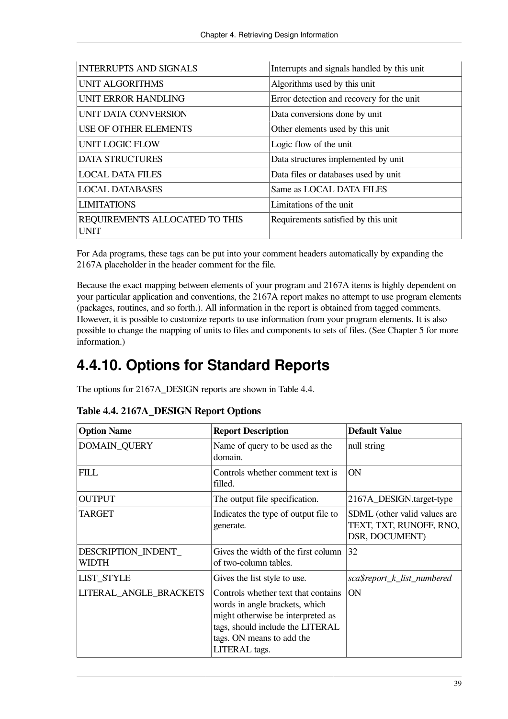| <b>INTERRUPTS AND SIGNALS</b>                 | Interrupts and signals handled by this unit |
|-----------------------------------------------|---------------------------------------------|
| <b>UNIT ALGORITHMS</b>                        | Algorithms used by this unit                |
| <b>UNIT ERROR HANDLING</b>                    | Error detection and recovery for the unit   |
| UNIT DATA CONVERSION                          | Data conversions done by unit               |
| USE OF OTHER ELEMENTS                         | Other elements used by this unit            |
| <b>UNIT LOGIC FLOW</b>                        | Logic flow of the unit                      |
| <b>DATA STRUCTURES</b>                        | Data structures implemented by unit         |
| <b>LOCAL DATA FILES</b>                       | Data files or databases used by unit        |
| <b>LOCAL DATABASES</b>                        | Same as LOCAL DATA FILES                    |
| <b>LIMITATIONS</b>                            | Limitations of the unit                     |
| REQUIREMENTS ALLOCATED TO THIS<br><b>UNIT</b> | Requirements satisfied by this unit         |

For Ada programs, these tags can be put into your comment headers automatically by expanding the 2167A placeholder in the header comment for the file.

Because the exact mapping between elements of your program and 2167A items is highly dependent on your particular application and conventions, the 2167A report makes no attempt to use program elements (packages, routines, and so forth.). All information in the report is obtained from tagged comments. However, it is possible to customize reports to use information from your program elements. It is also possible to change the mapping of units to files and components to sets of files. (See [Chapter](#page-48-0) 5 for more information.)

## <span id="page-44-0"></span>**4.4.10. Options for Standard Reports**

The options for 2167A\_DESIGN reports are shown in [Table](#page-44-1) 4.4.

| <b>Option Name</b>           | <b>Report Description</b>                                                                                                                                                                    | <b>Default Value</b>                                                      |
|------------------------------|----------------------------------------------------------------------------------------------------------------------------------------------------------------------------------------------|---------------------------------------------------------------------------|
| <b>DOMAIN_QUERY</b>          | Name of query to be used as the<br>domain.                                                                                                                                                   | null string                                                               |
| <b>FILL</b>                  | Controls whether comment text is<br>filled.                                                                                                                                                  | ON                                                                        |
| <b>OUTPUT</b>                | The output file specification.                                                                                                                                                               | 2167A_DESIGN.target-type                                                  |
| TARGET                       | Indicates the type of output file to<br>generate.                                                                                                                                            | SDML (other valid values are<br>TEXT, TXT, RUNOFF, RNO,<br>DSR, DOCUMENT) |
| DESCRIPTION_INDENT_<br>WIDTH | Gives the width of the first column<br>of two-column tables.                                                                                                                                 | 32                                                                        |
| <b>LIST_STYLE</b>            | Gives the list style to use.                                                                                                                                                                 | sca\$report_k_list_numbered                                               |
| LITERAL_ANGLE_BRACKETS       | Controls whether text that contains<br>words in angle brackets, which<br>might otherwise be interpreted as<br>tags, should include the LITERAL<br>tags. ON means to add the<br>LITERAL tags. | <b>ON</b>                                                                 |

#### <span id="page-44-1"></span>**Table 4.4. 2167A\_DESIGN Report Options**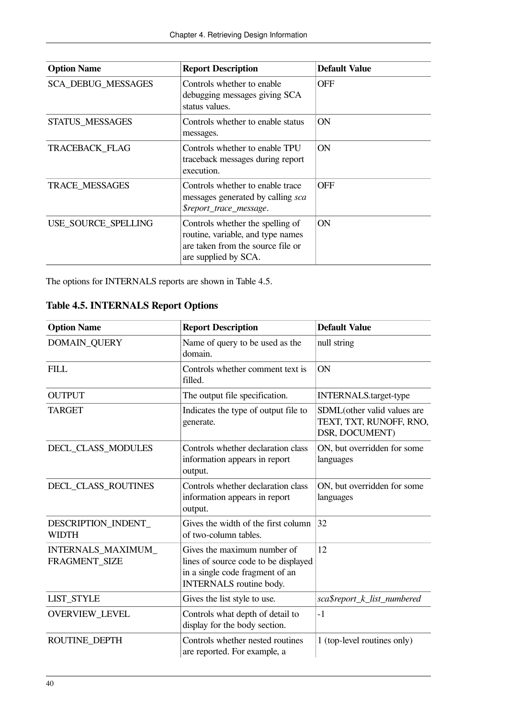| <b>Option Name</b>        | <b>Report Description</b>                                                                                                          | <b>Default Value</b> |
|---------------------------|------------------------------------------------------------------------------------------------------------------------------------|----------------------|
| <b>SCA DEBUG MESSAGES</b> | Controls whether to enable<br>debugging messages giving SCA<br>status values.                                                      | <b>OFF</b>           |
| <b>STATUS MESSAGES</b>    | Controls whether to enable status<br>messages.                                                                                     | <b>ON</b>            |
| <b>TRACEBACK FLAG</b>     | Controls whether to enable TPU<br>traceback messages during report<br>execution.                                                   | <b>ON</b>            |
| TRACE MESSAGES            | Controls whether to enable trace<br>messages generated by calling sca<br>\$report_trace_message.                                   | <b>OFF</b>           |
| USE SOURCE SPELLING       | Controls whether the spelling of<br>routine, variable, and type names<br>are taken from the source file or<br>are supplied by SCA. | ON                   |

<span id="page-45-0"></span>The options for INTERNALS reports are shown in [Table](#page-45-0) 4.5.

**Table 4.5. INTERNALS Report Options**

| <b>Option Name</b>                  | <b>Report Description</b>                                                                                                         |                                                                          |
|-------------------------------------|-----------------------------------------------------------------------------------------------------------------------------------|--------------------------------------------------------------------------|
| <b>DOMAIN_QUERY</b>                 | Name of query to be used as the<br>domain.                                                                                        | null string                                                              |
| <b>FILL</b>                         | Controls whether comment text is<br>filled.                                                                                       | ON                                                                       |
| <b>OUTPUT</b>                       | The output file specification.                                                                                                    | <b>INTERNALS.target-type</b>                                             |
| <b>TARGET</b>                       | Indicates the type of output file to<br>generate.                                                                                 | SDML(other valid values are<br>TEXT, TXT, RUNOFF, RNO,<br>DSR, DOCUMENT) |
| DECL_CLASS_MODULES                  | Controls whether declaration class<br>information appears in report<br>output.                                                    | ON, but overridden for some<br>languages                                 |
| DECL_CLASS_ROUTINES                 | Controls whether declaration class<br>information appears in report<br>output.                                                    | ON, but overridden for some<br>languages                                 |
| DESCRIPTION_INDENT_<br><b>WIDTH</b> | Gives the width of the first column<br>of two-column tables.                                                                      | 32                                                                       |
| INTERNALS_MAXIMUM_<br>FRAGMENT SIZE | Gives the maximum number of<br>lines of source code to be displayed<br>in a single code fragment of an<br>INTERNALS routine body. | 12                                                                       |
| <b>LIST_STYLE</b>                   | Gives the list style to use.                                                                                                      | sca\$report_k_list_numbered                                              |
| OVERVIEW_LEVEL                      | Controls what depth of detail to<br>display for the body section.                                                                 | $-1$                                                                     |
| ROUTINE DEPTH                       | Controls whether nested routines<br>are reported. For example, a                                                                  | 1 (top-level routines only)                                              |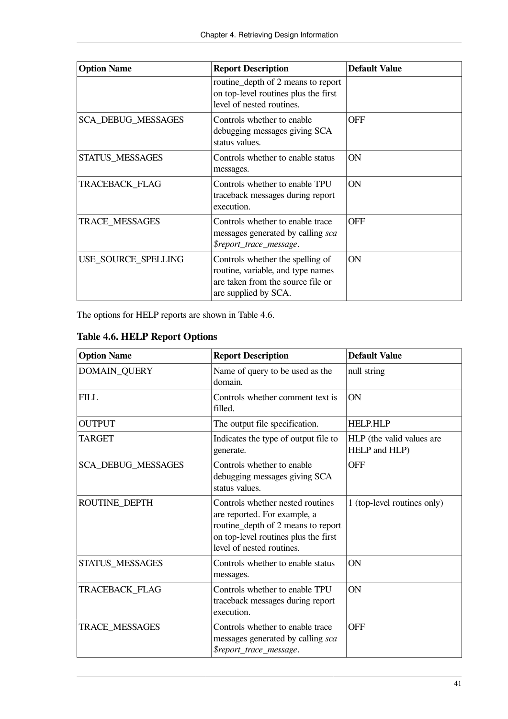| <b>Option Name</b>        | <b>Report Description</b>                                                                                                          | <b>Default Value</b> |
|---------------------------|------------------------------------------------------------------------------------------------------------------------------------|----------------------|
|                           | routine_depth of 2 means to report<br>on top-level routines plus the first<br>level of nested routines.                            |                      |
| <b>SCA_DEBUG_MESSAGES</b> | Controls whether to enable<br>debugging messages giving SCA<br>status values.                                                      | <b>OFF</b>           |
| <b>STATUS_MESSAGES</b>    | Controls whether to enable status<br>messages.                                                                                     | <b>ON</b>            |
| TRACEBACK_FLAG            | Controls whether to enable TPU<br>traceback messages during report<br>execution.                                                   | <b>ON</b>            |
| <b>TRACE MESSAGES</b>     | Controls whether to enable trace<br>messages generated by calling sca<br>\$report_trace_message.                                   | <b>OFF</b>           |
| USE_SOURCE_SPELLING       | Controls whether the spelling of<br>routine, variable, and type names<br>are taken from the source file or<br>are supplied by SCA. | ON                   |

The options for HELP reports are shown in [Table](#page-46-0) 4.6.

<span id="page-46-0"></span>

| <b>Table 4.6. HELP Report Options</b> |  |  |  |
|---------------------------------------|--|--|--|
|---------------------------------------|--|--|--|

| <b>Option Name</b>        | <b>Report Description</b>                                                                                                                                                   | <b>Default Value</b>                       |
|---------------------------|-----------------------------------------------------------------------------------------------------------------------------------------------------------------------------|--------------------------------------------|
| DOMAIN_QUERY              | Name of query to be used as the<br>domain.                                                                                                                                  | null string                                |
| <b>FILL</b>               | Controls whether comment text is<br>filled.                                                                                                                                 | ON                                         |
| <b>OUTPUT</b>             | The output file specification.                                                                                                                                              | <b>HELP.HLP</b>                            |
| <b>TARGET</b>             | Indicates the type of output file to<br>generate.                                                                                                                           | HLP (the valid values are<br>HELP and HLP) |
| <b>SCA DEBUG MESSAGES</b> | Controls whether to enable<br>debugging messages giving SCA<br>status values.                                                                                               | <b>OFF</b>                                 |
| ROUTINE DEPTH             | Controls whether nested routines<br>are reported. For example, a<br>routine_depth of 2 means to report<br>on top-level routines plus the first<br>level of nested routines. | 1 (top-level routines only)                |
| STATUS_MESSAGES           | Controls whether to enable status<br>messages.                                                                                                                              | ON                                         |
| <b>TRACEBACK FLAG</b>     | Controls whether to enable TPU<br>traceback messages during report<br>execution.                                                                                            | <b>ON</b>                                  |
| TRACE_MESSAGES            | Controls whether to enable trace<br>messages generated by calling sca<br>\$report_trace_message.                                                                            | <b>OFF</b>                                 |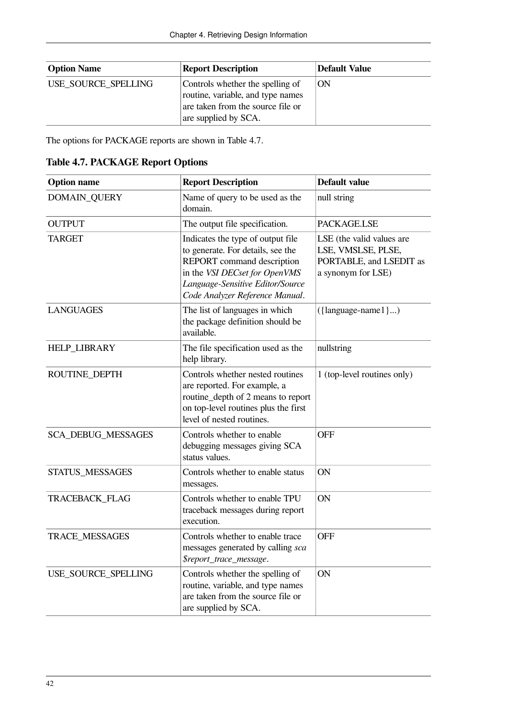| <b>Option Name</b>  | <b>Report Description</b>                                                                                                          | Default Value |
|---------------------|------------------------------------------------------------------------------------------------------------------------------------|---------------|
| USE_SOURCE_SPELLING | Controls whether the spelling of<br>routine, variable, and type names<br>are taken from the source file or<br>are supplied by SCA. | ON            |

The options for PACKAGE reports are shown in [Table](#page-47-0) 4.7.

<span id="page-47-0"></span>

| <b>Table 4.7. PACKAGE Report Options</b> |
|------------------------------------------|
|------------------------------------------|

| <b>Option name</b>        | <b>Report Description</b>                                                                                                                                                                                    | Default value                                                                                    |
|---------------------------|--------------------------------------------------------------------------------------------------------------------------------------------------------------------------------------------------------------|--------------------------------------------------------------------------------------------------|
| DOMAIN_QUERY              | Name of query to be used as the<br>domain.                                                                                                                                                                   | null string                                                                                      |
| <b>OUTPUT</b>             | The output file specification.                                                                                                                                                                               | PACKAGE.LSE                                                                                      |
| <b>TARGET</b>             | Indicates the type of output file<br>to generate. For details, see the<br>REPORT command description<br>in the VSI DECset for OpenVMS<br>Language-Sensitive Editor/Source<br>Code Analyzer Reference Manual. | LSE (the valid values are<br>LSE, VMSLSE, PLSE,<br>PORTABLE, and LSEDIT as<br>a synonym for LSE) |
| <b>LANGUAGES</b>          | The list of languages in which<br>the package definition should be<br>available.                                                                                                                             | $({\{language-name1\})})$                                                                        |
| <b>HELP_LIBRARY</b>       | The file specification used as the<br>help library.                                                                                                                                                          | nullstring                                                                                       |
| ROUTINE_DEPTH             | Controls whether nested routines<br>are reported. For example, a<br>routine_depth of 2 means to report<br>on top-level routines plus the first<br>level of nested routines.                                  | 1 (top-level routines only)                                                                      |
| <b>SCA_DEBUG_MESSAGES</b> | Controls whether to enable<br>debugging messages giving SCA<br>status values.                                                                                                                                | <b>OFF</b>                                                                                       |
| STATUS_MESSAGES           | Controls whether to enable status<br>messages.                                                                                                                                                               | ON                                                                                               |
| TRACEBACK_FLAG            | Controls whether to enable TPU<br>traceback messages during report<br>execution.                                                                                                                             | ON                                                                                               |
| TRACE_MESSAGES            | Controls whether to enable trace<br>messages generated by calling sca<br>\$report_trace_message.                                                                                                             | <b>OFF</b>                                                                                       |
| USE_SOURCE_SPELLING       | Controls whether the spelling of<br>routine, variable, and type names<br>are taken from the source file or<br>are supplied by SCA.                                                                           | ON                                                                                               |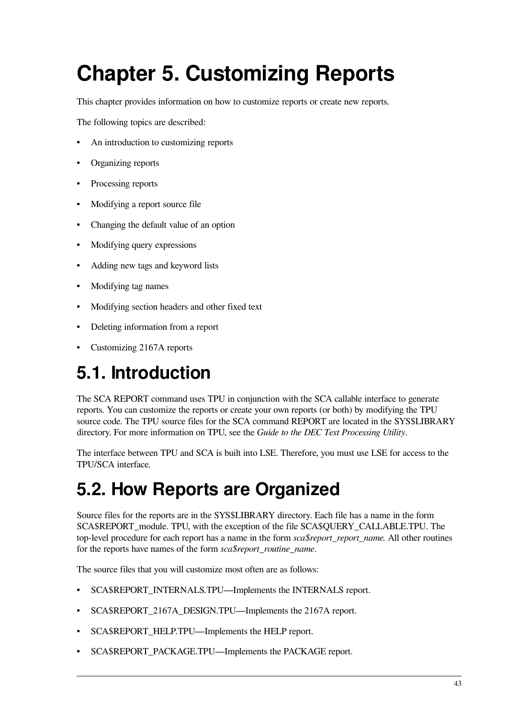# <span id="page-48-0"></span>**Chapter 5. Customizing Reports**

This chapter provides information on how to customize reports or create new reports.

The following topics are described:

- An introduction to customizing reports
- Organizing reports
- Processing reports
- Modifying a report source file
- Changing the default value of an option
- Modifying query expressions
- Adding new tags and keyword lists
- Modifying tag names
- Modifying section headers and other fixed text
- Deleting information from a report
- Customizing 2167A reports

# <span id="page-48-1"></span>**5.1. Introduction**

The SCA REPORT command uses TPU in conjunction with the SCA callable interface to generate reports. You can customize the reports or create your own reports (or both) by modifying the TPU source code. The TPU source files for the SCA command REPORT are located in the SYS\$LIBRARY directory. For more information on TPU, see the *Guide to the DEC Text Processing Utility*.

The interface between TPU and SCA is built into LSE. Therefore, you must use LSE for access to the TPU/SCA interface.

# <span id="page-48-2"></span>**5.2. How Reports are Organized**

Source files for the reports are in the SYS\$LIBRARY directory. Each file has a name in the form SCA\$REPORT\_module. TPU, with the exception of the file SCA\$QUERY\_CALLABLE.TPU. The top-level procedure for each report has a name in the form *sca\$report\_report\_name.* All other routines for the reports have names of the form *sca\$report\_routine\_name*.

The source files that you will customize most often are as follows:

- SCA\$REPORT\_INTERNALS.TPU—Implements the INTERNALS report.
- SCA\$REPORT\_2167A\_DESIGN.TPU—Implements the 2167A report.
- SCA\$REPORT\_HELP.TPU—Implements the HELP report.
- SCA\$REPORT\_PACKAGE.TPU—Implements the PACKAGE report.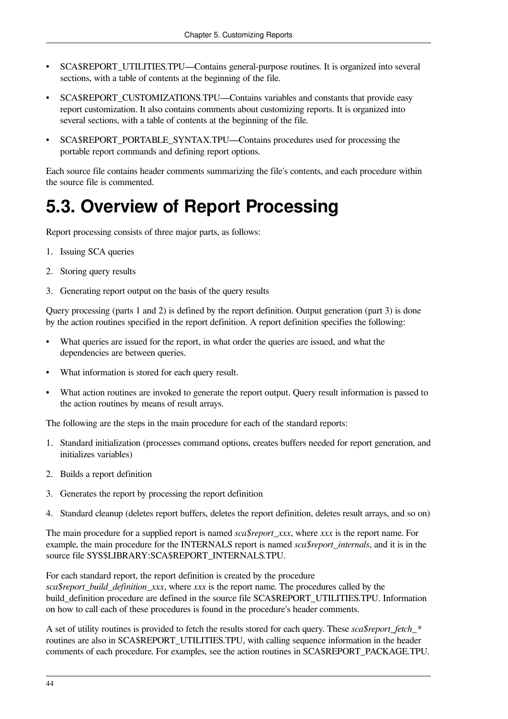- SCA\$REPORT\_UTILITIES.TPU—Contains general-purpose routines. It is organized into several sections, with a table of contents at the beginning of the file.
- SCA\$REPORT CUSTOMIZATIONS.TPU—Contains variables and constants that provide easy report customization. It also contains comments about customizing reports. It is organized into several sections, with a table of contents at the beginning of the file.
- SCA\$REPORT\_PORTABLE\_SYNTAX.TPU—Contains procedures used for processing the portable report commands and defining report options.

Each source file contains header comments summarizing the file's contents, and each procedure within the source file is commented.

# <span id="page-49-0"></span>**5.3. Overview of Report Processing**

Report processing consists of three major parts, as follows:

- 1. Issuing SCA queries
- 2. Storing query results
- 3. Generating report output on the basis of the query results

Query processing (parts 1 and 2) is defined by the report definition. Output generation (part 3) is done by the action routines specified in the report definition. A report definition specifies the following:

- What queries are issued for the report, in what order the queries are issued, and what the dependencies are between queries.
- What information is stored for each query result.
- What action routines are invoked to generate the report output. Query result information is passed to the action routines by means of result arrays.

The following are the steps in the main procedure for each of the standard reports:

- 1. Standard initialization (processes command options, creates buffers needed for report generation, and initializes variables)
- 2. Builds a report definition
- 3. Generates the report by processing the report definition
- 4. Standard cleanup (deletes report buffers, deletes the report definition, deletes result arrays, and so on)

The main procedure for a supplied report is named *sca\$report\_xxx*, where *xxx* is the report name. For example, the main procedure for the INTERNALS report is named *sca\$report* internals, and it is in the source file SYS\$LIBRARY:SCA\$REPORT\_INTERNALS.TPU.

For each standard report, the report definition is created by the procedure *sca\$report\_build\_definition\_xxx*, where *xxx* is the report name. The procedures called by the build\_definition procedure are defined in the source file SCA\$REPORT\_UTILITIES.TPU. Information on how to call each of these procedures is found in the procedure's header comments.

A set of utility routines is provided to fetch the results stored for each query. These *sca\$report fetch* \* routines are also in SCA\$REPORT\_UTILITIES.TPU, with calling sequence information in the header comments of each procedure. For examples, see the action routines in SCA\$REPORT\_PACKAGE.TPU.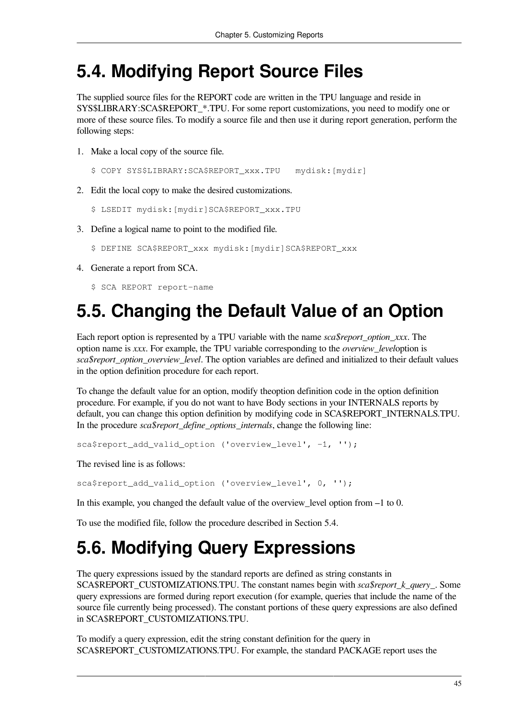## <span id="page-50-0"></span>**5.4. Modifying Report Source Files**

The supplied source files for the REPORT code are written in the TPU language and reside in SYS\$LIBRARY:SCA\$REPORT\_\*.TPU. For some report customizations, you need to modify one or more of these source files. To modify a source file and then use it during report generation, perform the following steps:

1. Make a local copy of the source file.

```
$ COPY SYS$LIBRARY:SCA$REPORT_xxx.TPU mydisk:[mydir]
```
2. Edit the local copy to make the desired customizations.

```
$ LSEDIT mydisk:[mydir]SCA$REPORT_xxx.TPU
```
- 3. Define a logical name to point to the modified file.
	- \$ DEFINE SCA\$REPORT\_xxx mydisk:[mydir]SCA\$REPORT\_xxx
- 4. Generate a report from SCA.

\$ SCA REPORT report-name

# <span id="page-50-1"></span>**5.5. Changing the Default Value of an Option**

Each report option is represented by a TPU variable with the name *sca\$report\_option\_xxx*. The option name is *xxx*. For example, the TPU variable corresponding to the *overview\_level*option is *sca\$report\_option\_overview\_level*. The option variables are defined and initialized to their default values in the option definition procedure for each report.

To change the default value for an option, modify theoption definition code in the option definition procedure. For example, if you do not want to have Body sections in your INTERNALS reports by default, you can change this option definition by modifying code in SCA\$REPORT\_INTERNALS.TPU. In the procedure *sca\$report\_define\_options\_internals*, change the following line:

sca\$report\_add\_valid\_option ('overview\_level', -1, '');

The revised line is as follows:

sca\$report\_add\_valid\_option ('overview\_level', 0, '');

In this example, you changed the default value of the overview level option from –1 to 0.

<span id="page-50-2"></span>To use the modified file, follow the procedure described in [Section](#page-50-0) 5.4.

# **5.6. Modifying Query Expressions**

The query expressions issued by the standard reports are defined as string constants in SCA\$REPORT\_CUSTOMIZATIONS.TPU. The constant names begin with *sca\$report\_k\_query\_*. Some query expressions are formed during report execution (for example, queries that include the name of the source file currently being processed). The constant portions of these query expressions are also defined in SCA\$REPORT\_CUSTOMIZATIONS.TPU.

To modify a query expression, edit the string constant definition for the query in SCA\$REPORT\_CUSTOMIZATIONS.TPU. For example, the standard PACKAGE report uses the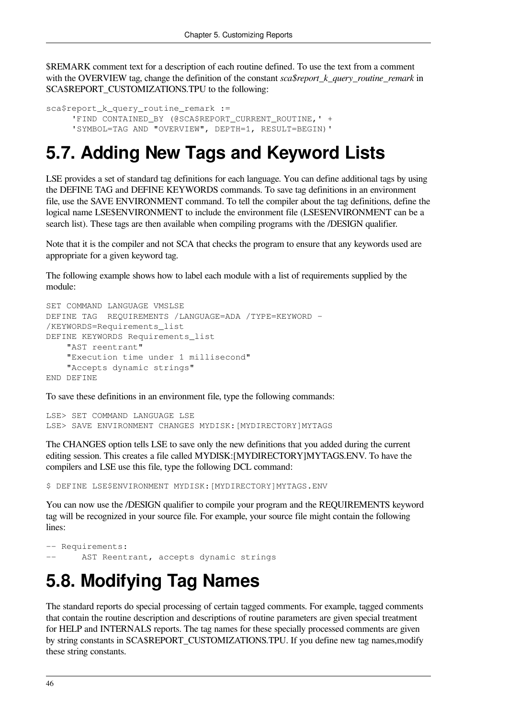\$REMARK comment text for a description of each routine defined. To use the text from a comment with the OVERVIEW tag, change the definition of the constant *sca\$report\_k\_query\_routine\_remark* in SCA\$REPORT\_CUSTOMIZATIONS.TPU to the following:

```
sca$report_k_query_routine_remark :=
     'FIND CONTAINED BY (@SCA$REPORT CURRENT ROUTINE, ' +
      'SYMBOL=TAG AND "OVERVIEW", DEPTH=1, RESULT=BEGIN)'
```
# <span id="page-51-0"></span>**5.7. Adding New Tags and Keyword Lists**

LSE provides a set of standard tag definitions for each language. You can define additional tags by using the DEFINE TAG and DEFINE KEYWORDS commands. To save tag definitions in an environment file, use the SAVE ENVIRONMENT command. To tell the compiler about the tag definitions, define the logical name LSE\$ENVIRONMENT to include the environment file (LSE\$ENVIRONMENT can be a search list). These tags are then available when compiling programs with the /DESIGN qualifier.

Note that it is the compiler and not SCA that checks the program to ensure that any keywords used are appropriate for a given keyword tag.

The following example shows how to label each module with a list of requirements supplied by the module:

```
SET COMMAND LANGUAGE VMSLSE
DEFINE TAG REQUIREMENTS /LANGUAGE=ADA /TYPE=KEYWORD -
/KEYWORDS=Requirements_list
DEFINE KEYWORDS Requirements_list
     "AST reentrant"
     "Execution time under 1 millisecond"
     "Accepts dynamic strings"
END DEFINE
```
To save these definitions in an environment file, type the following commands:

LSE> SET COMMAND LANGUAGE LSE LSE> SAVE ENVIRONMENT CHANGES MYDISK:[MYDIRECTORY]MYTAGS

The CHANGES option tells LSE to save only the new definitions that you added during the current editing session. This creates a file called MYDISK:[MYDIRECTORY]MYTAGS.ENV. To have the compilers and LSE use this file, type the following DCL command:

\$ DEFINE LSE\$ENVIRONMENT MYDISK:[MYDIRECTORY]MYTAGS.ENV

You can now use the /DESIGN qualifier to compile your program and the REQUIREMENTS keyword tag will be recognized in your source file. For example, your source file might contain the following lines:

```
-- Requirements:
      AST Reentrant, accepts dynamic strings
```
# <span id="page-51-1"></span>**5.8. Modifying Tag Names**

The standard reports do special processing of certain tagged comments. For example, tagged comments that contain the routine description and descriptions of routine parameters are given special treatment for HELP and INTERNALS reports. The tag names for these specially processed comments are given by string constants in SCA\$REPORT\_CUSTOMIZATIONS.TPU. If you define new tag names,modify these string constants.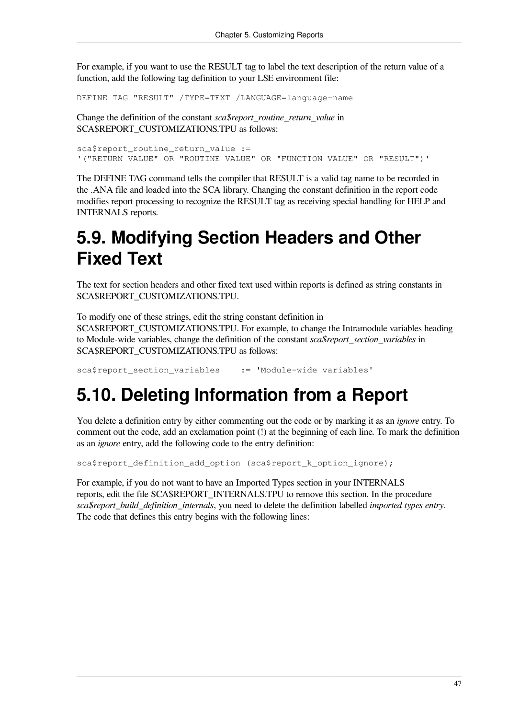For example, if you want to use the RESULT tag to label the text description of the return value of a function, add the following tag definition to your LSE environment file:

DEFINE TAG "RESULT" /TYPE=TEXT /LANGUAGE=language-name

Change the definition of the constant *sca\$report\_routine\_return\_value* in SCA\$REPORT\_CUSTOMIZATIONS.TPU as follows:

sca\$report routine return value := '("RETURN VALUE" OR "ROUTINE VALUE" OR "FUNCTION VALUE" OR "RESULT")'

The DEFINE TAG command tells the compiler that RESULT is a valid tag name to be recorded in the .ANA file and loaded into the SCA library. Changing the constant definition in the report code modifies report processing to recognize the RESULT tag as receiving special handling for HELP and INTERNALS reports.

# <span id="page-52-0"></span>**5.9. Modifying Section Headers and Other Fixed Text**

The text for section headers and other fixed text used within reports is defined as string constants in SCA\$REPORT\_CUSTOMIZATIONS.TPU.

To modify one of these strings, edit the string constant definition in SCA\$REPORT\_CUSTOMIZATIONS.TPU. For example, to change the Intramodule variables heading to Module-wide variables, change the definition of the constant *sca\$report\_section\_variables* in SCA\$REPORT\_CUSTOMIZATIONS.TPU as follows:

<span id="page-52-1"></span>sca\$report section variables := 'Module-wide variables'

## **5.10. Deleting Information from a Report**

You delete a definition entry by either commenting out the code or by marking it as an *ignore* entry. To comment out the code, add an exclamation point (!) at the beginning of each line. To mark the definition as an *ignore* entry, add the following code to the entry definition:

sca\$report\_definition\_add\_option (sca\$report\_k\_option\_ignore);

For example, if you do not want to have an Imported Types section in your INTERNALS reports, edit the file SCA\$REPORT\_INTERNALS.TPU to remove this section. In the procedure *sca\$report\_build\_definition\_internals*, you need to delete the definition labelled *imported types entry*. The code that defines this entry begins with the following lines: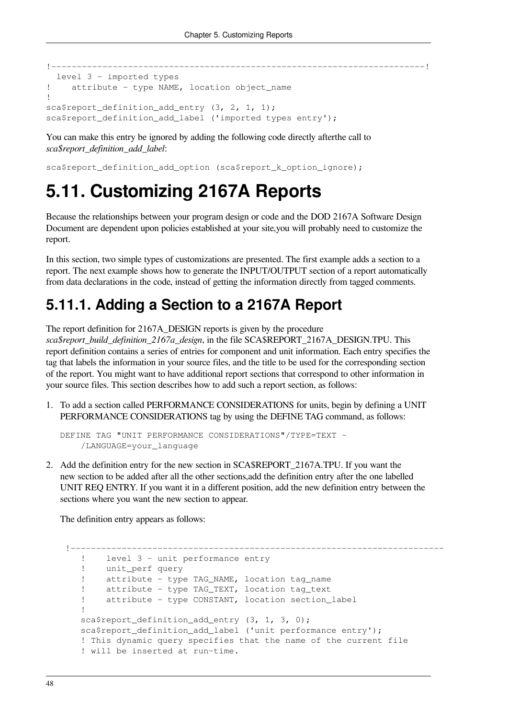```
!-------------------------------------------------------------------------!
   level 3 - imported types
! attribute - type NAME, location object_name
!
sca$report_definition_add_entry (3, 2, 1, 1);
sca$report definition add label ('imported types entry');
```
You can make this entry be ignored by adding the following code directly afterthe call to *sca\$report\_definition\_add\_label*:

<span id="page-53-0"></span>sca\$report\_definition\_add\_option (sca\$report\_k\_option\_ignore);

# **5.11. Customizing 2167A Reports**

Because the relationships between your program design or code and the DOD 2167A Software Design Document are dependent upon policies established at your site,you will probably need to customize the report.

In this section, two simple types of customizations are presented. The first example adds a section to a report. The next example shows how to generate the INPUT/OUTPUT section of a report automatically from data declarations in the code, instead of getting the information directly from tagged comments.

## <span id="page-53-1"></span>**5.11.1. Adding a Section to a 2167A Report**

The report definition for 2167A\_DESIGN reports is given by the procedure

*sca\$report\_build\_definition\_2167a\_design*, in the file SCA\$REPORT\_2167A\_DESIGN.TPU. This report definition contains a series of entries for component and unit information. Each entry specifies the tag that labels the information in your source files, and the title to be used for the corresponding section of the report. You might want to have additional report sections that correspond to other information in your source files. This section describes how to add such a report section, as follows:

1. To add a section called PERFORMANCE CONSIDERATIONS for units, begin by defining a UNIT PERFORMANCE CONSIDERATIONS tag by using the DEFINE TAG command, as follows:

```
DEFINE TAG "UNIT PERFORMANCE CONSIDERATIONS"/TYPE=TEXT -
     /LANGUAGE=your_language
```
2. Add the definition entry for the new section in SCA\$REPORT\_2167A.TPU. If you want the new section to be added after all the other sections,add the definition entry after the one labelled UNIT REQ ENTRY. If you want it in a different position, add the new definition entry between the sections where you want the new section to appear.

The definition entry appears as follows:

```
 !-------------------------------------------------------------------------
    ! level 3 - unit performance entry
     ! unit_perf query
    ! attribute - type TAG NAME, location tag name
     ! attribute - type TAG_TEXT, location tag_text
     ! attribute - type CONSTANT, location section_label
11.12
    sca$report_definition_add_entry (3, 1, 3, 0);
   sca$report definition add label ('unit performance entry');
     ! This dynamic query specifies that the name of the current file
     ! will be inserted at run-time.
```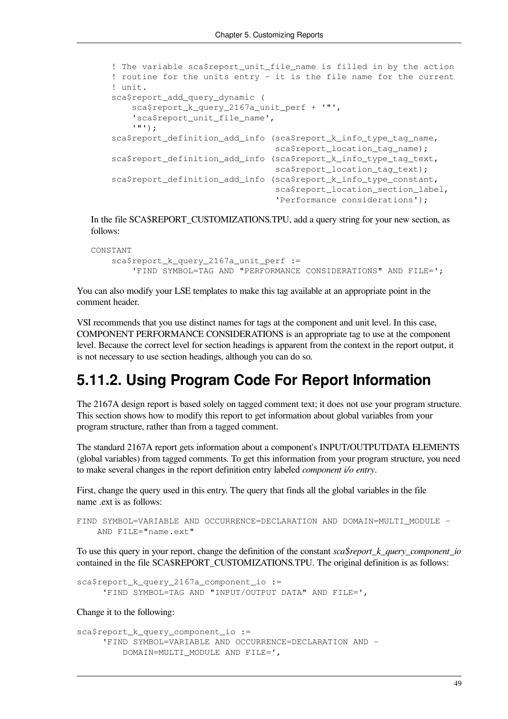```
 ! The variable sca$report_unit_file_name is filled in by the action
 ! routine for the units entry - it is the file name for the current
 ! unit.
 sca$report_add_query_dynamic (
     sca$report_k_query_2167a_unit_perf + '"',
    'sca$report_unit_file_name',
     '"');
sca$report_definition_add_info (sca$report_k_info_type_tag_name,
                                 sca$report_location_tag_name);
 sca$report_definition_add_info (sca$report_k_info_type_tag_text,
                                sca$report_location_tag_text);
 sca$report_definition_add_info (sca$report_k_info_type_constant,
                                sca$report_location_section_label,
                                  'Performance considerations');
```
In the file SCA\$REPORT\_CUSTOMIZATIONS.TPU, add a query string for your new section, as follows:

```
CONSTANT
     sca$report_k_query_2167a_unit_perf :=
         'FIND SYMBOL=TAG AND "PERFORMANCE CONSIDERATIONS" AND FILE=';
```
You can also modify your LSE templates to make this tag available at an appropriate point in the comment header.

VSI recommends that you use distinct names for tags at the component and unit level. In this case, COMPONENT PERFORMANCE CONSIDERATIONS is an appropriate tag to use at the component level. Because the correct level for section headings is apparent from the context in the report output, it is not necessary to use section headings, although you can do so.

## <span id="page-54-0"></span>**5.11.2. Using Program Code For Report Information**

The 2167A design report is based solely on tagged comment text; it does not use your program structure. This section shows how to modify this report to get information about global variables from your program structure, rather than from a tagged comment.

The standard 2167A report gets information about a component's INPUT/OUTPUTDATA ELEMENTS (global variables) from tagged comments. To get this information from your program structure, you need to make several changes in the report definition entry labeled *component i/o entry*.

First, change the query used in this entry. The query that finds all the global variables in the file name .ext is as follows:

```
FIND SYMBOL=VARIABLE AND OCCURRENCE=DECLARATION AND DOMAIN=MULTI_MODULE -
     AND FILE="name.ext"
```
To use this query in your report, change the definition of the constant *sca\$report\_k\_query\_component\_io* contained in the file SCA\$REPORT\_CUSTOMIZATIONS.TPU. The original definition is as follows:

```
sca$report k query 2167a component io :=
      'FIND SYMBOL=TAG AND "INPUT/OUTPUT DATA" AND FILE=',
```
Change it to the following:

```
sca$report_k_query_component_io :=
      'FIND SYMBOL=VARIABLE AND OCCURRENCE=DECLARATION AND -
          DOMAIN=MULTI_MODULE AND FILE=',
```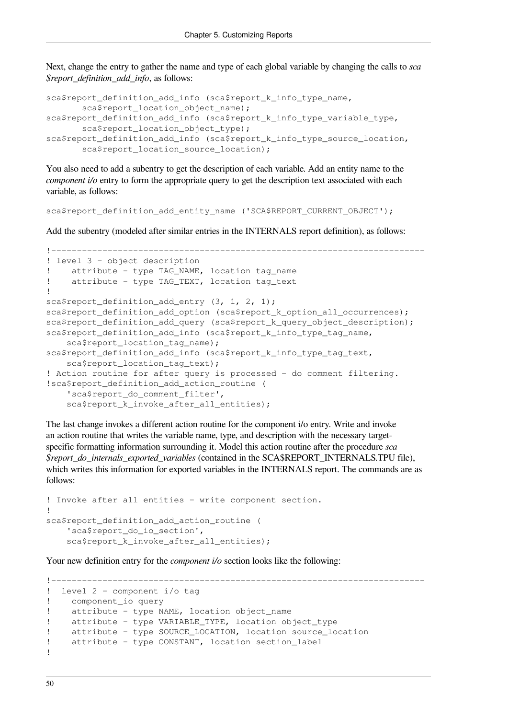Next, change the entry to gather the name and type of each global variable by changing the calls to *sca \$report\_definition\_add\_info*, as follows:

```
sca$report_definition_add_info (sca$report_k_info_type_name,
        sca$report_location_object_name);
sca$report_definition_add_info (sca$report_k_info_type_variable_type,
        sca$report_location_object_type);
sca$report_definition_add_info (sca$report_k_info_type_source_location,
        sca$report_location_source_location);
```
You also need to add a subentry to get the description of each variable. Add an entity name to the *component i/o* entry to form the appropriate query to get the description text associated with each variable, as follows:

sca\$report\_definition\_add\_entity\_name ('SCA\$REPORT\_CURRENT\_OBJECT');

Add the subentry (modeled after similar entries in the INTERNALS report definition), as follows:

```
!-------------------------------------------------------------------------
! level 3 - object description
! attribute - type TAG NAME, location tag name
! attribute - type TAG TEXT, location tag text
!
sca$report definition add entry (3, 1, 2, 1);sca$report definition add option (sca$report_k_option_all_occurrences);
sca$report_definition_add_query (sca$report_k_query_object_description);
sca$report definition add info (sca$report k info type tag name,
    sca$report_location_tag_name);
sca$report_definition_add_info (sca$report_k_info_type_tag_text,
    sca$report_location_tag_text);
! Action routine for after query is processed - do comment filtering.
!sca$report_definition_add_action_routine (
     'sca$report_do_comment_filter',
     sca$report_k_invoke_after_all_entities);
```
The last change invokes a different action routine for the component i/o entry. Write and invoke an action routine that writes the variable name, type, and description with the necessary targetspecific formatting information surrounding it. Model this action routine after the procedure *sca \$report\_do\_internals\_exported\_variables* (contained in the SCA\$REPORT\_INTERNALS.TPU file), which writes this information for exported variables in the INTERNALS report. The commands are as follows:

```
! Invoke after all entities - write component section.
!
sca$report definition add action routine (
     'sca$report_do_io_section',
     sca$report_k_invoke_after_all_entities);
```
Your new definition entry for the *component i/o* section looks like the following:

```
!-------------------------------------------------------------------------
! level 2 - component i/o tag
! component_io query
! attribute - type NAME, location object_name
! attribute - type VARIABLE_TYPE, location object_type
! attribute - type SOURCE_LOCATION, location source_location
! attribute - type CONSTANT, location section_label
!
```